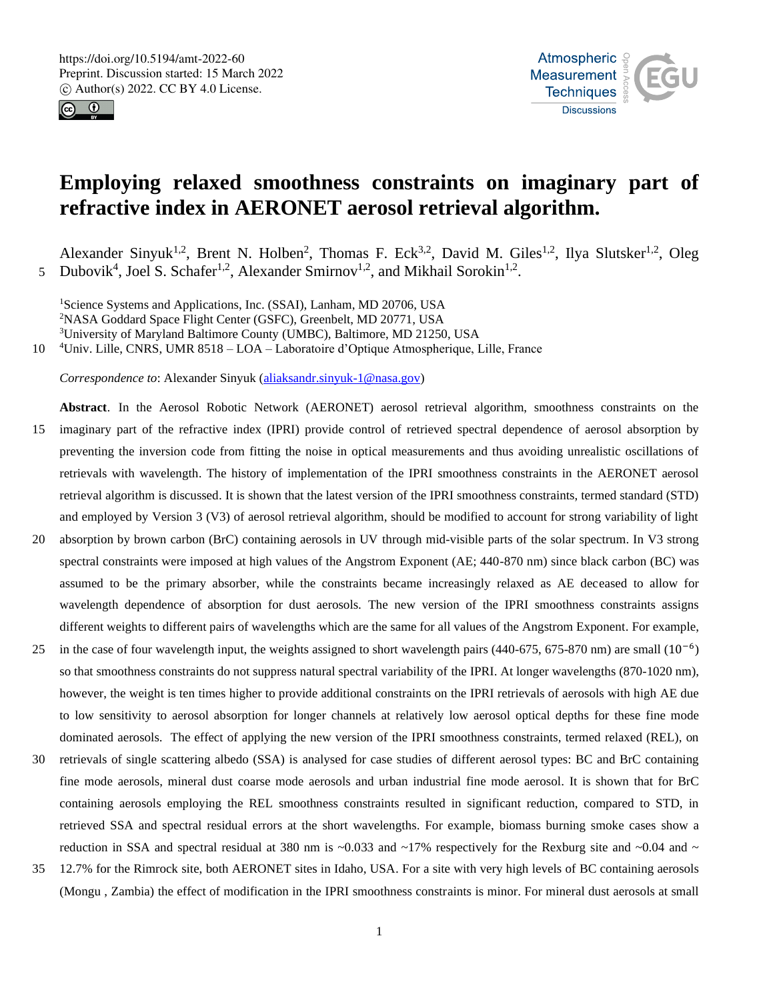



# **Employing relaxed smoothness constraints on imaginary part of refractive index in AERONET aerosol retrieval algorithm.**

Alexander Sinyuk<sup>1,2</sup>, Brent N. Holben<sup>2</sup>, Thomas F. Eck<sup>3,2</sup>, David M. Giles<sup>1,2</sup>, Ilya Slutsker<sup>1,2</sup>, Oleg 5 Dubovik<sup>4</sup>, Joel S. Schafer<sup>1,2</sup>, Alexander Smirnov<sup>1,2</sup>, and Mikhail Sorokin<sup>1,2</sup>.

<sup>1</sup>Science Systems and Applications, Inc. (SSAI), Lanham, MD 20706, USA <sup>2</sup>NASA Goddard Space Flight Center (GSFC), Greenbelt, MD 20771, USA <sup>3</sup>University of Maryland Baltimore County (UMBC), Baltimore, MD 21250, USA

10 <sup>4</sup>Univ. Lille, CNRS, UMR 8518 – LOA – Laboratoire d'Optique Atmospherique, Lille, France

*Correspondence to*: Alexander Sinyuk (aliaksandr.sinyuk-1@nasa.gov)

- **Abstract**. In the Aerosol Robotic Network (AERONET) aerosol retrieval algorithm, smoothness constraints on the 15 imaginary part of the refractive index (IPRI) provide control of retrieved spectral dependence of aerosol absorption by preventing the inversion code from fitting the noise in optical measurements and thus avoiding unrealistic oscillations of retrievals with wavelength. The history of implementation of the IPRI smoothness constraints in the AERONET aerosol retrieval algorithm is discussed. It is shown that the latest version of the IPRI smoothness constraints, termed standard (STD) and employed by Version 3 (V3) of aerosol retrieval algorithm, should be modified to account for strong variability of light
- 20 absorption by brown carbon (BrC) containing aerosols in UV through mid-visible parts of the solar spectrum. In V3 strong spectral constraints were imposed at high values of the Angstrom Exponent (AE; 440-870 nm) since black carbon (BC) was assumed to be the primary absorber, while the constraints became increasingly relaxed as AE deceased to allow for wavelength dependence of absorption for dust aerosols. The new version of the IPRI smoothness constraints assigns different weights to different pairs of wavelengths which are the same for all values of the Angstrom Exponent. For example,
- 25 in the case of four wavelength input, the weights assigned to short wavelength pairs (440-675, 675-870 nm) are small  $(10^{-6})$ so that smoothness constraints do not suppress natural spectral variability of the IPRI. At longer wavelengths (870-1020 nm), however, the weight is ten times higher to provide additional constraints on the IPRI retrievals of aerosols with high AE due to low sensitivity to aerosol absorption for longer channels at relatively low aerosol optical depths for these fine mode dominated aerosols. The effect of applying the new version of the IPRI smoothness constraints, termed relaxed (REL), on
- 30 retrievals of single scattering albedo (SSA) is analysed for case studies of different aerosol types: BC and BrC containing fine mode aerosols, mineral dust coarse mode aerosols and urban industrial fine mode aerosol. It is shown that for BrC containing aerosols employing the REL smoothness constraints resulted in significant reduction, compared to STD, in retrieved SSA and spectral residual errors at the short wavelengths. For example, biomass burning smoke cases show a reduction in SSA and spectral residual at 380 nm is  $\sim 0.033$  and  $\sim 17\%$  respectively for the Rexburg site and  $\sim 0.04$  and  $\sim$
- 35 12.7% for the Rimrock site, both AERONET sites in Idaho, USA. For a site with very high levels of BC containing aerosols (Mongu , Zambia) the effect of modification in the IPRI smoothness constraints is minor. For mineral dust aerosols at small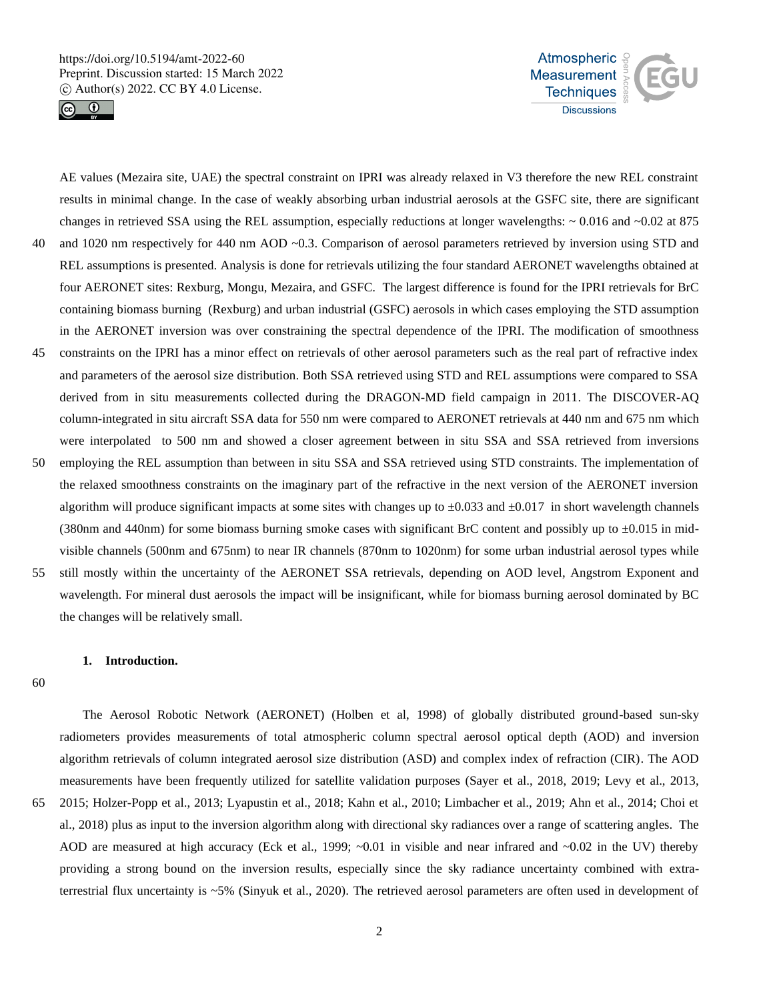



AE values (Mezaira site, UAE) the spectral constraint on IPRI was already relaxed in V3 therefore the new REL constraint results in minimal change. In the case of weakly absorbing urban industrial aerosols at the GSFC site, there are significant changes in retrieved SSA using the REL assumption, especially reductions at longer wavelengths: ~ 0.016 and ~0.02 at 875 40 and 1020 nm respectively for 440 nm AOD ~0.3. Comparison of aerosol parameters retrieved by inversion using STD and REL assumptions is presented. Analysis is done for retrievals utilizing the four standard AERONET wavelengths obtained at four AERONET sites: Rexburg, Mongu, Mezaira, and GSFC. The largest difference is found for the IPRI retrievals for BrC containing biomass burning (Rexburg) and urban industrial (GSFC) aerosols in which cases employing the STD assumption in the AERONET inversion was over constraining the spectral dependence of the IPRI. The modification of smoothness 45 constraints on the IPRI has a minor effect on retrievals of other aerosol parameters such as the real part of refractive index and parameters of the aerosol size distribution. Both SSA retrieved using STD and REL assumptions were compared to SSA derived from in situ measurements collected during the DRAGON-MD field campaign in 2011. The DISCOVER-AQ column-integrated in situ aircraft SSA data for 550 nm were compared to AERONET retrievals at 440 nm and 675 nm which were interpolated to 500 nm and showed a closer agreement between in situ SSA and SSA retrieved from inversions 50 employing the REL assumption than between in situ SSA and SSA retrieved using STD constraints. The implementation of the relaxed smoothness constraints on the imaginary part of the refractive in the next version of the AERONET inversion

algorithm will produce significant impacts at some sites with changes up to  $\pm 0.033$  and  $\pm 0.017$  in short wavelength channels (380nm and 440nm) for some biomass burning smoke cases with significant BrC content and possibly up to  $\pm 0.015$  in midvisible channels (500nm and 675nm) to near IR channels (870nm to 1020nm) for some urban industrial aerosol types while

55 still mostly within the uncertainty of the AERONET SSA retrievals, depending on AOD level, Angstrom Exponent and wavelength. For mineral dust aerosols the impact will be insignificant, while for biomass burning aerosol dominated by BC the changes will be relatively small.

# **1. Introduction.**

60

The Aerosol Robotic Network (AERONET) (Holben et al, 1998) of globally distributed ground-based sun-sky radiometers provides measurements of total atmospheric column spectral aerosol optical depth (AOD) and inversion algorithm retrievals of column integrated aerosol size distribution (ASD) and complex index of refraction (CIR). The AOD measurements have been frequently utilized for satellite validation purposes (Sayer et al., 2018, 2019; Levy et al., 2013, 65 2015; Holzer-Popp et al., 2013; Lyapustin et al., 2018; Kahn et al., 2010; Limbacher et al., 2019; Ahn et al., 2014; Choi et al., 2018) plus as input to the inversion algorithm along with directional sky radiances over a range of scattering angles. The AOD are measured at high accuracy (Eck et al., 1999; ~0.01 in visible and near infrared and ~0.02 in the UV) thereby providing a strong bound on the inversion results, especially since the sky radiance uncertainty combined with extraterrestrial flux uncertainty is ~5% (Sinyuk et al., 2020). The retrieved aerosol parameters are often used in development of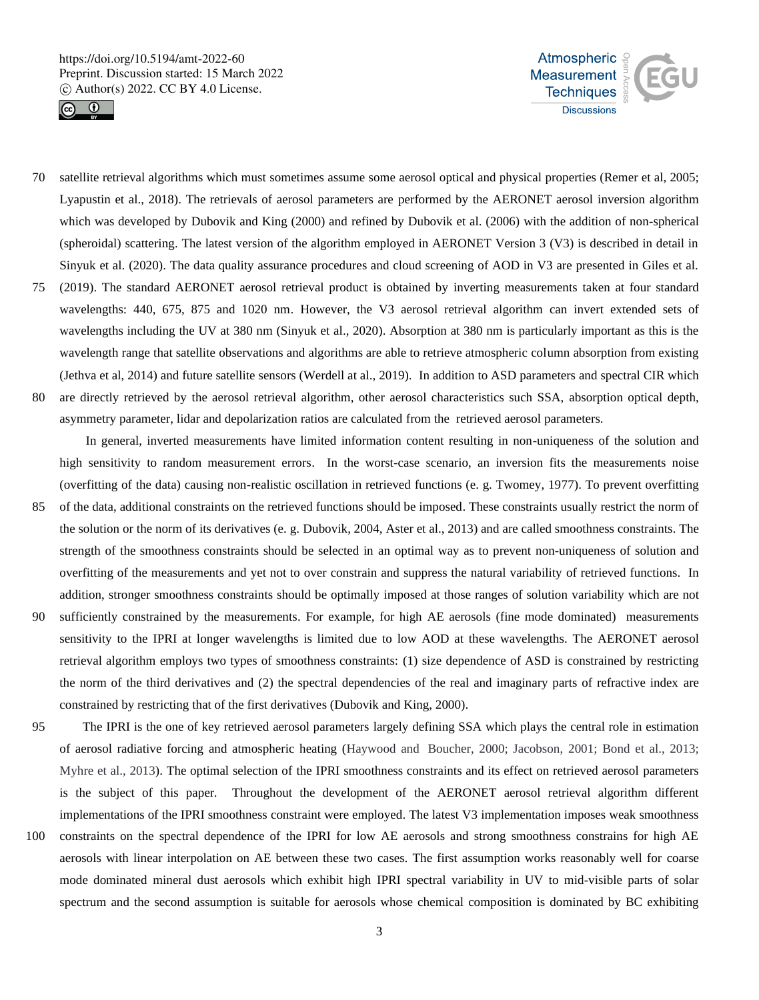



- 70 satellite retrieval algorithms which must sometimes assume some aerosol optical and physical properties (Remer et al, 2005; Lyapustin et al., 2018). The retrievals of aerosol parameters are performed by the AERONET aerosol inversion algorithm which was developed by Dubovik and King (2000) and refined by Dubovik et al. (2006) with the addition of non-spherical (spheroidal) scattering. The latest version of the algorithm employed in AERONET Version 3 (V3) is described in detail in Sinyuk et al. (2020). The data quality assurance procedures and cloud screening of AOD in V3 are presented in Giles et al. 75 (2019). The standard AERONET aerosol retrieval product is obtained by inverting measurements taken at four standard
- wavelengths: 440, 675, 875 and 1020 nm. However, the V3 aerosol retrieval algorithm can invert extended sets of wavelengths including the UV at 380 nm (Sinyuk et al., 2020). Absorption at 380 nm is particularly important as this is the wavelength range that satellite observations and algorithms are able to retrieve atmospheric column absorption from existing (Jethva et al, 2014) and future satellite sensors (Werdell at al., 2019). In addition to ASD parameters and spectral CIR which
- 80 are directly retrieved by the aerosol retrieval algorithm, other aerosol characteristics such SSA, absorption optical depth, asymmetry parameter, lidar and depolarization ratios are calculated from the retrieved aerosol parameters.

In general, inverted measurements have limited information content resulting in non-uniqueness of the solution and high sensitivity to random measurement errors. In the worst-case scenario, an inversion fits the measurements noise (overfitting of the data) causing non-realistic oscillation in retrieved functions (e. g. Twomey, 1977). To prevent overfitting

- 85 of the data, additional constraints on the retrieved functions should be imposed. These constraints usually restrict the norm of the solution or the norm of its derivatives (e. g. Dubovik, 2004, Aster et al., 2013) and are called smoothness constraints. The strength of the smoothness constraints should be selected in an optimal way as to prevent non-uniqueness of solution and overfitting of the measurements and yet not to over constrain and suppress the natural variability of retrieved functions. In addition, stronger smoothness constraints should be optimally imposed at those ranges of solution variability which are not
- 90 sufficiently constrained by the measurements. For example, for high AE aerosols (fine mode dominated) measurements sensitivity to the IPRI at longer wavelengths is limited due to low AOD at these wavelengths. The AERONET aerosol retrieval algorithm employs two types of smoothness constraints: (1) size dependence of ASD is constrained by restricting the norm of the third derivatives and (2) the spectral dependencies of the real and imaginary parts of refractive index are constrained by restricting that of the first derivatives (Dubovik and King, 2000).
- 95 The IPRI is the one of key retrieved aerosol parameters largely defining SSA which plays the central role in estimation of aerosol radiative forcing and atmospheric heating (Haywood and Boucher, 2000; Jacobson, 2001; Bond et al., 2013; Myhre et al., 2013). The optimal selection of the IPRI smoothness constraints and its effect on retrieved aerosol parameters is the subject of this paper. Throughout the development of the AERONET aerosol retrieval algorithm different implementations of the IPRI smoothness constraint were employed. The latest V3 implementation imposes weak smoothness
- 100 constraints on the spectral dependence of the IPRI for low AE aerosols and strong smoothness constrains for high AE aerosols with linear interpolation on AE between these two cases. The first assumption works reasonably well for coarse mode dominated mineral dust aerosols which exhibit high IPRI spectral variability in UV to mid-visible parts of solar spectrum and the second assumption is suitable for aerosols whose chemical composition is dominated by BC exhibiting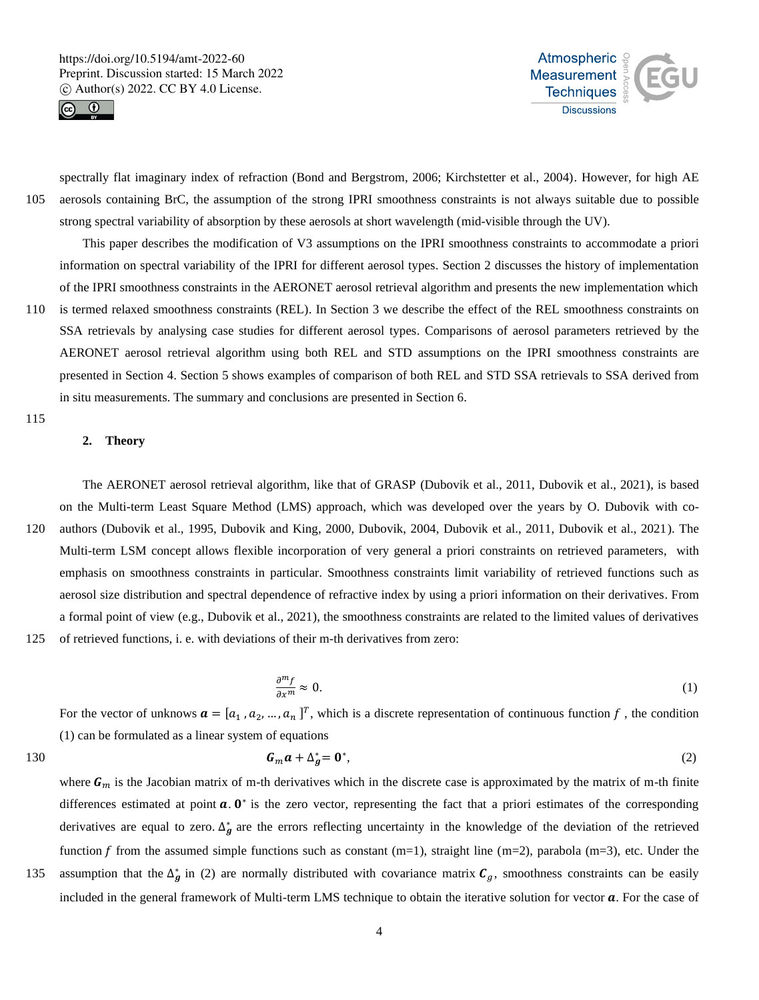



spectrally flat imaginary index of refraction (Bond and Bergstrom, 2006; Kirchstetter et al., 2004). However, for high AE 105 aerosols containing BrC, the assumption of the strong IPRI smoothness constraints is not always suitable due to possible strong spectral variability of absorption by these aerosols at short wavelength (mid-visible through the UV).

This paper describes the modification of V3 assumptions on the IPRI smoothness constraints to accommodate a priori information on spectral variability of the IPRI for different aerosol types. Section 2 discusses the history of implementation of the IPRI smoothness constraints in the AERONET aerosol retrieval algorithm and presents the new implementation which

110 is termed relaxed smoothness constraints (REL). In Section 3 we describe the effect of the REL smoothness constraints on SSA retrievals by analysing case studies for different aerosol types. Comparisons of aerosol parameters retrieved by the AERONET aerosol retrieval algorithm using both REL and STD assumptions on the IPRI smoothness constraints are presented in Section 4. Section 5 shows examples of comparison of both REL and STD SSA retrievals to SSA derived from in situ measurements. The summary and conclusions are presented in Section 6.

## 115

## **2. Theory**

The AERONET aerosol retrieval algorithm, like that of GRASP (Dubovik et al., 2011, Dubovik et al., 2021), is based on the Multi-term Least Square Method (LMS) approach, which was developed over the years by O. Dubovik with co-120 authors (Dubovik et al., 1995, Dubovik and King, 2000, Dubovik, 2004, Dubovik et al., 2011, Dubovik et al., 2021). The Multi-term LSM concept allows flexible incorporation of very general a priori constraints on retrieved parameters, with emphasis on smoothness constraints in particular. Smoothness constraints limit variability of retrieved functions such as aerosol size distribution and spectral dependence of refractive index by using a priori information on their derivatives. From a formal point of view (e.g., Dubovik et al., 2021), the smoothness constraints are related to the limited values of derivatives 125 of retrieved functions, i. e. with deviations of their m-th derivatives from zero:

$$
\frac{\partial^m f}{\partial x^m} \approx 0. \tag{1}
$$

For the vector of unknows  $\mathbf{a} = [a_1, a_2, ..., a_n]^T$ , which is a discrete representation of continuous function f, the condition (1) can be formulated as a linear system of equations

where  $G_m$  is the Jacobian matrix of m-th derivatives which in the discrete case is approximated by the matrix of m-th finite

$$
G_m a + \Delta_g^* = \mathbf{0}^*,\tag{2}
$$

differences estimated at point  $a$ .  $0^*$  is the zero vector, representing the fact that a priori estimates of the corresponding derivatives are equal to zero.  $\Delta_g^*$  are the errors reflecting uncertainty in the knowledge of the deviation of the retrieved function f from the assumed simple functions such as constant  $(m=1)$ , straight line  $(m=2)$ , parabola  $(m=3)$ , etc. Under the

135 assumption that the  $\Delta_g^*$  in (2) are normally distributed with covariance matrix  $C_g$ , smoothness constraints can be easily included in the general framework of Multi-term LMS technique to obtain the iterative solution for vector  $a$ . For the case of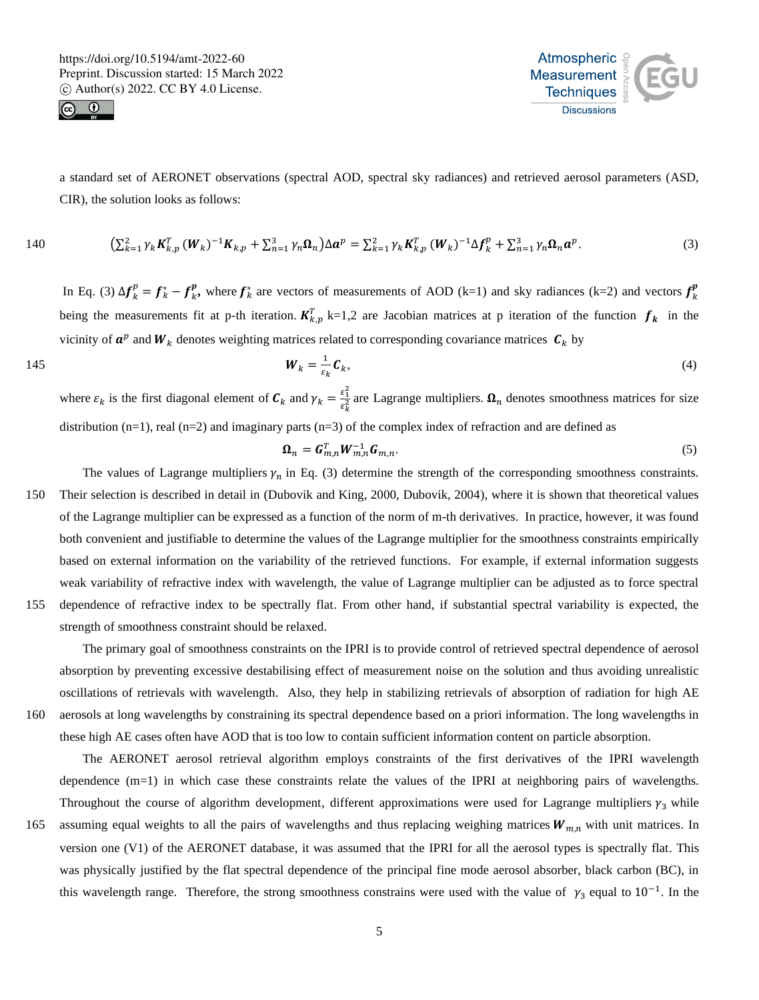



a standard set of AERONET observations (spectral AOD, spectral sky radiances) and retrieved aerosol parameters (ASD, CIR), the solution looks as follows:

140 
$$
\left(\sum_{k=1}^{2} \gamma_{k} \mathbf{K}_{k,p}^{T} (\mathbf{W}_{k})^{-1} \mathbf{K}_{k,p} + \sum_{n=1}^{3} \gamma_{n} \mathbf{\Omega}_{n}\right) \Delta \mathbf{a}^{p} = \sum_{k=1}^{2} \gamma_{k} \mathbf{K}_{k,p}^{T} (\mathbf{W}_{k})^{-1} \Delta \mathbf{f}_{k}^{p} + \sum_{n=1}^{3} \gamma_{n} \mathbf{\Omega}_{n} \mathbf{a}^{p}.
$$
 (3)

In Eq. (3)  $\Delta f_k^p = f_k^* - f_k^p$ , where  $f_k^*$  are vectors of measurements of AOD (k=1) and sky radiances (k=2) and vectors  $f_k^p$ being the measurements fit at p-th iteration.  $K_{k,p}^T$  k=1,2 are Jacobian matrices at p iteration of the function  $f_k$  in the vicinity of  $a^p$  and  $W_k$  denotes weighting matrices related to corresponding covariance matrices  $c_k$  by

$$
\boldsymbol{W}_k = \frac{1}{\varepsilon_k} \boldsymbol{C}_k, \tag{4}
$$

where  $\varepsilon_k$  is the first diagonal element of  $C_k$  and  $\gamma_k = \frac{\varepsilon_1^2}{\varepsilon^2}$  $\frac{\epsilon_1}{\epsilon_k^2}$  are Lagrange multipliers.  $\Omega_n$  denotes smoothness matrices for size distribution  $(n=1)$ , real  $(n=2)$  and imaginary parts  $(n=3)$  of the complex index of refraction and are defined as

$$
\boldsymbol{\Omega}_n = \boldsymbol{G}_{m,n}^T \boldsymbol{W}_{m,n}^{-1} \boldsymbol{G}_{m,n}.
$$
\n<sup>(5)</sup>

- The values of Lagrange multipliers  $\gamma_n$  in Eq. (3) determine the strength of the corresponding smoothness constraints. 150 Their selection is described in detail in (Dubovik and King, 2000, Dubovik, 2004), where it is shown that theoretical values of the Lagrange multiplier can be expressed as a function of the norm of m-th derivatives. In practice, however, it was found both convenient and justifiable to determine the values of the Lagrange multiplier for the smoothness constraints empirically based on external information on the variability of the retrieved functions. For example, if external information suggests weak variability of refractive index with wavelength, the value of Lagrange multiplier can be adjusted as to force spectral 155 dependence of refractive index to be spectrally flat. From other hand, if substantial spectral variability is expected, the
- 

strength of smoothness constraint should be relaxed.

The primary goal of smoothness constraints on the IPRI is to provide control of retrieved spectral dependence of aerosol absorption by preventing excessive destabilising effect of measurement noise on the solution and thus avoiding unrealistic oscillations of retrievals with wavelength. Also, they help in stabilizing retrievals of absorption of radiation for high AE 160 aerosols at long wavelengths by constraining its spectral dependence based on a priori information. The long wavelengths in

these high AE cases often have AOD that is too low to contain sufficient information content on particle absorption.

The AERONET aerosol retrieval algorithm employs constraints of the first derivatives of the IPRI wavelength dependence (m=1) in which case these constraints relate the values of the IPRI at neighboring pairs of wavelengths. Throughout the course of algorithm development, different approximations were used for Lagrange multipliers  $\gamma_3$  while

165 assuming equal weights to all the pairs of wavelengths and thus replacing weighing matrices  $W_{m,n}$  with unit matrices. In version one (V1) of the AERONET database, it was assumed that the IPRI for all the aerosol types is spectrally flat. This was physically justified by the flat spectral dependence of the principal fine mode aerosol absorber, black carbon (BC), in this wavelength range. Therefore, the strong smoothness constrains were used with the value of  $\gamma_3$  equal to 10<sup>-1</sup>. In the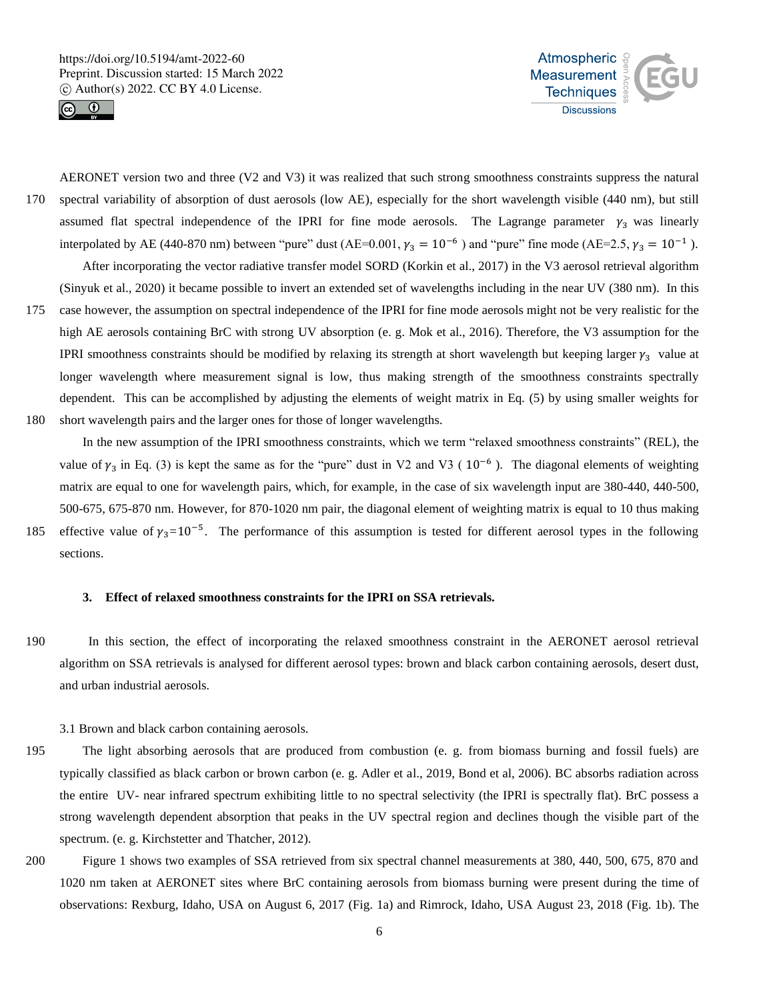



AERONET version two and three (V2 and V3) it was realized that such strong smoothness constraints suppress the natural 170 spectral variability of absorption of dust aerosols (low AE), especially for the short wavelength visible (440 nm), but still assumed flat spectral independence of the IPRI for fine mode aerosols. The Lagrange parameter  $\gamma_3$  was linearly interpolated by AE (440-870 nm) between "pure" dust (AE=0.001,  $\gamma_3 = 10^{-6}$ ) and "pure" fine mode (AE=2.5,  $\gamma_3 = 10^{-1}$ ).

After incorporating the vector radiative transfer model SORD (Korkin et al., 2017) in the V3 aerosol retrieval algorithm (Sinyuk et al., 2020) it became possible to invert an extended set of wavelengths including in the near UV (380 nm). In this

175 case however, the assumption on spectral independence of the IPRI for fine mode aerosols might not be very realistic for the high AE aerosols containing BrC with strong UV absorption (e. g. Mok et al., 2016). Therefore, the V3 assumption for the IPRI smoothness constraints should be modified by relaxing its strength at short wavelength but keeping larger  $\gamma_3$  value at longer wavelength where measurement signal is low, thus making strength of the smoothness constraints spectrally dependent. This can be accomplished by adjusting the elements of weight matrix in Eq. (5) by using smaller weights for 180 short wavelength pairs and the larger ones for those of longer wavelengths.

In the new assumption of the IPRI smoothness constraints, which we term "relaxed smoothness constraints" (REL), the value of  $\gamma_3$  in Eq. (3) is kept the same as for the "pure" dust in V2 and V3 (  $10^{-6}$  ). The diagonal elements of weighting matrix are equal to one for wavelength pairs, which, for example, in the case of six wavelength input are 380-440, 440-500, 500-675, 675-870 nm. However, for 870-1020 nm pair, the diagonal element of weighting matrix is equal to 10 thus making 185 effective value of  $\gamma_3=10^{-5}$ . The performance of this assumption is tested for different aerosol types in the following sections.

#### **3. Effect of relaxed smoothness constraints for the IPRI on SSA retrievals.**

- 190 In this section, the effect of incorporating the relaxed smoothness constraint in the AERONET aerosol retrieval algorithm on SSA retrievals is analysed for different aerosol types: brown and black carbon containing aerosols, desert dust, and urban industrial aerosols.
	- 3.1 Brown and black carbon containing aerosols.
- 195 The light absorbing aerosols that are produced from combustion (e. g. from biomass burning and fossil fuels) are typically classified as black carbon or brown carbon (e. g. Adler et al., 2019, Bond et al, 2006). BC absorbs radiation across the entire UV- near infrared spectrum exhibiting little to no spectral selectivity (the IPRI is spectrally flat). BrC possess a strong wavelength dependent absorption that peaks in the UV spectral region and declines though the visible part of the spectrum. (e. g. Kirchstetter and Thatcher, 2012).
- 200 Figure 1 shows two examples of SSA retrieved from six spectral channel measurements at 380, 440, 500, 675, 870 and 1020 nm taken at AERONET sites where BrC containing aerosols from biomass burning were present during the time of observations: Rexburg, Idaho, USA on August 6, 2017 (Fig. 1a) and Rimrock, Idaho, USA August 23, 2018 (Fig. 1b). The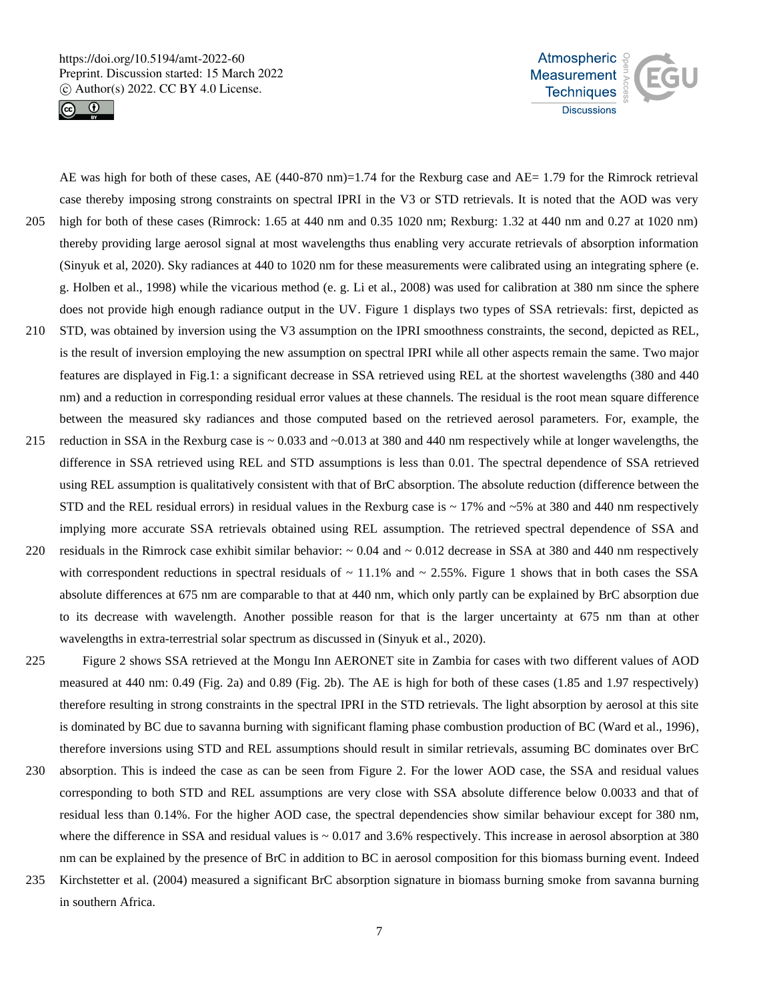



205 high for both of these cases (Rimrock: 1.65 at 440 nm and 0.35 1020 nm; Rexburg: 1.32 at 440 nm and 0.27 at 1020 nm) thereby providing large aerosol signal at most wavelengths thus enabling very accurate retrievals of absorption information (Sinyuk et al, 2020). Sky radiances at 440 to 1020 nm for these measurements were calibrated using an integrating sphere (e. g. Holben et al., 1998) while the vicarious method (e. g. Li et al., 2008) was used for calibration at 380 nm since the sphere does not provide high enough radiance output in the UV. Figure 1 displays two types of SSA retrievals: first, depicted as

AE was high for both of these cases, AE (440-870 nm)=1.74 for the Rexburg case and AE= 1.79 for the Rimrock retrieval case thereby imposing strong constraints on spectral IPRI in the V3 or STD retrievals. It is noted that the AOD was very

- 210 STD, was obtained by inversion using the V3 assumption on the IPRI smoothness constraints, the second, depicted as REL, is the result of inversion employing the new assumption on spectral IPRI while all other aspects remain the same. Two major features are displayed in Fig.1: a significant decrease in SSA retrieved using REL at the shortest wavelengths (380 and 440 nm) and a reduction in corresponding residual error values at these channels. The residual is the root mean square difference between the measured sky radiances and those computed based on the retrieved aerosol parameters. For, example, the
- 215 reduction in SSA in the Rexburg case is ~ 0.033 and ~0.013 at 380 and 440 nm respectively while at longer wavelengths, the difference in SSA retrieved using REL and STD assumptions is less than 0.01. The spectral dependence of SSA retrieved using REL assumption is qualitatively consistent with that of BrC absorption. The absolute reduction (difference between the STD and the REL residual errors) in residual values in the Rexburg case is  $\sim$  17% and  $\sim$  5% at 380 and 440 nm respectively implying more accurate SSA retrievals obtained using REL assumption. The retrieved spectral dependence of SSA and
- 220 residuals in the Rimrock case exhibit similar behavior:  $\sim 0.04$  and  $\sim 0.012$  decrease in SSA at 380 and 440 nm respectively with correspondent reductions in spectral residuals of  $\sim 11.1\%$  and  $\sim 2.55\%$ . Figure 1 shows that in both cases the SSA absolute differences at 675 nm are comparable to that at 440 nm, which only partly can be explained by BrC absorption due to its decrease with wavelength. Another possible reason for that is the larger uncertainty at 675 nm than at other wavelengths in extra-terrestrial solar spectrum as discussed in (Sinyuk et al., 2020).
- 225 Figure 2 shows SSA retrieved at the Mongu Inn AERONET site in Zambia for cases with two different values of AOD measured at 440 nm: 0.49 (Fig. 2a) and 0.89 (Fig. 2b). The AE is high for both of these cases (1.85 and 1.97 respectively) therefore resulting in strong constraints in the spectral IPRI in the STD retrievals. The light absorption by aerosol at this site is dominated by BC due to savanna burning with significant flaming phase combustion production of BC (Ward et al., 1996), therefore inversions using STD and REL assumptions should result in similar retrievals, assuming BC dominates over BrC
- 230 absorption. This is indeed the case as can be seen from Figure 2. For the lower AOD case, the SSA and residual values corresponding to both STD and REL assumptions are very close with SSA absolute difference below 0.0033 and that of residual less than 0.14%. For the higher AOD case, the spectral dependencies show similar behaviour except for 380 nm, where the difference in SSA and residual values is  $\sim 0.017$  and 3.6% respectively. This increase in aerosol absorption at 380 nm can be explained by the presence of BrC in addition to BC in aerosol composition for this biomass burning event. Indeed
- 235 Kirchstetter et al. (2004) measured a significant BrC absorption signature in biomass burning smoke from savanna burning in southern Africa.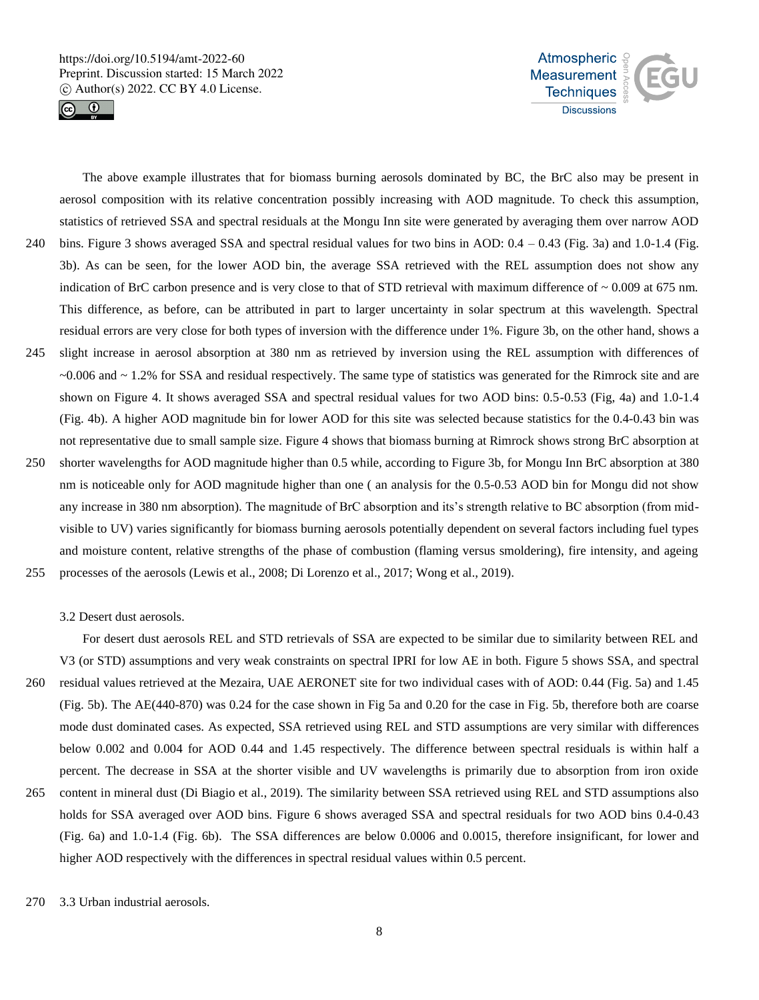



The above example illustrates that for biomass burning aerosols dominated by BC, the BrC also may be present in aerosol composition with its relative concentration possibly increasing with AOD magnitude. To check this assumption, statistics of retrieved SSA and spectral residuals at the Mongu Inn site were generated by averaging them over narrow AOD 240 bins. Figure 3 shows averaged SSA and spectral residual values for two bins in AOD:  $0.4 - 0.43$  (Fig. 3a) and 1.0-1.4 (Fig. 3b). As can be seen, for the lower AOD bin, the average SSA retrieved with the REL assumption does not show any indication of BrC carbon presence and is very close to that of STD retrieval with maximum difference of  $\sim 0.009$  at 675 nm. This difference, as before, can be attributed in part to larger uncertainty in solar spectrum at this wavelength. Spectral residual errors are very close for both types of inversion with the difference under 1%. Figure 3b, on the other hand, shows a 245 slight increase in aerosol absorption at 380 nm as retrieved by inversion using the REL assumption with differences of ~0.006 and ~ 1.2% for SSA and residual respectively. The same type of statistics was generated for the Rimrock site and are shown on Figure 4. It shows averaged SSA and spectral residual values for two AOD bins: 0.5-0.53 (Fig, 4a) and 1.0-1.4 (Fig. 4b). A higher AOD magnitude bin for lower AOD for this site was selected because statistics for the 0.4-0.43 bin was not representative due to small sample size. Figure 4 shows that biomass burning at Rimrock shows strong BrC absorption at 250 shorter wavelengths for AOD magnitude higher than 0.5 while, according to Figure 3b, for Mongu Inn BrC absorption at 380 nm is noticeable only for AOD magnitude higher than one ( an analysis for the 0.5-0.53 AOD bin for Mongu did not show any increase in 380 nm absorption). The magnitude of BrC absorption and its's strength relative to BC absorption (from midvisible to UV) varies significantly for biomass burning aerosols potentially dependent on several factors including fuel types and moisture content, relative strengths of the phase of combustion (flaming versus smoldering), fire intensity, and ageing 255 processes of the aerosols (Lewis et al., 2008; Di Lorenzo et al., 2017; Wong et al., 2019).

3.2 Desert dust aerosols.

For desert dust aerosols REL and STD retrievals of SSA are expected to be similar due to similarity between REL and V3 (or STD) assumptions and very weak constraints on spectral IPRI for low AE in both. Figure 5 shows SSA, and spectral 260 residual values retrieved at the Mezaira, UAE AERONET site for two individual cases with of AOD: 0.44 (Fig. 5a) and 1.45 (Fig. 5b). The AE(440-870) was 0.24 for the case shown in Fig 5a and 0.20 for the case in Fig. 5b, therefore both are coarse mode dust dominated cases. As expected, SSA retrieved using REL and STD assumptions are very similar with differences below 0.002 and 0.004 for AOD 0.44 and 1.45 respectively. The difference between spectral residuals is within half a percent. The decrease in SSA at the shorter visible and UV wavelengths is primarily due to absorption from iron oxide 265 content in mineral dust (Di Biagio et al., 2019). The similarity between SSA retrieved using REL and STD assumptions also holds for SSA averaged over AOD bins. Figure 6 shows averaged SSA and spectral residuals for two AOD bins 0.4-0.43 (Fig. 6a) and 1.0-1.4 (Fig. 6b). The SSA differences are below 0.0006 and 0.0015, therefore insignificant, for lower and higher AOD respectively with the differences in spectral residual values within 0.5 percent.

270 3.3 Urban industrial aerosols.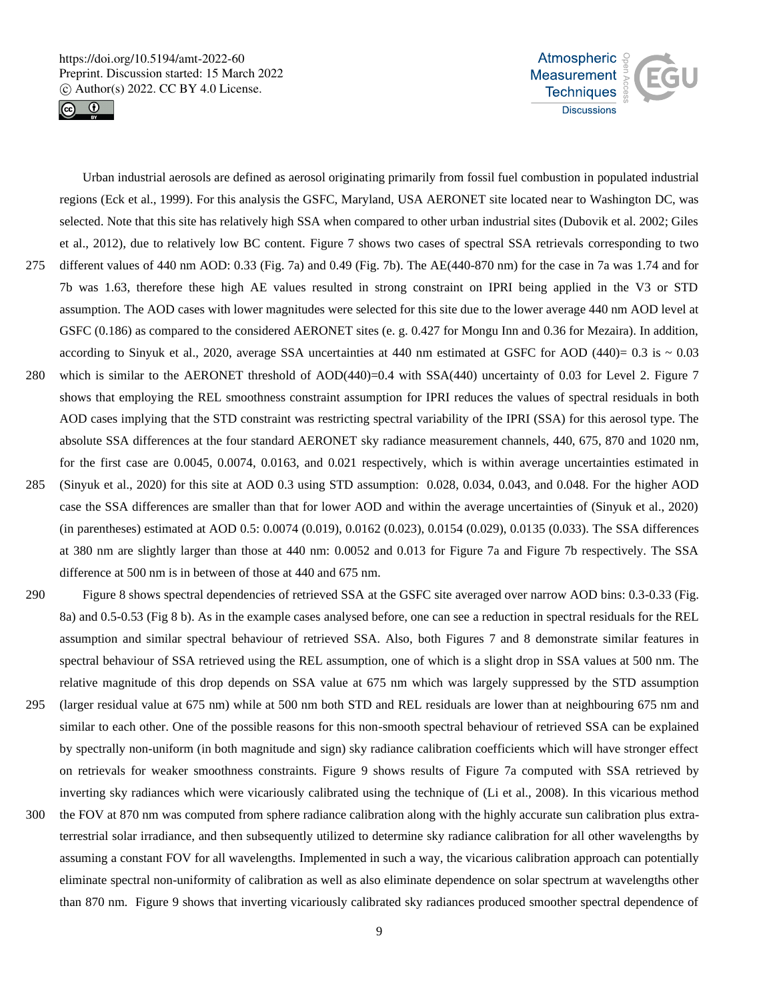



Urban industrial aerosols are defined as aerosol originating primarily from fossil fuel combustion in populated industrial regions (Eck et al., 1999). For this analysis the GSFC, Maryland, USA AERONET site located near to Washington DC, was selected. Note that this site has relatively high SSA when compared to other urban industrial sites (Dubovik et al. 2002; Giles et al., 2012), due to relatively low BC content. Figure 7 shows two cases of spectral SSA retrievals corresponding to two 275 different values of 440 nm AOD: 0.33 (Fig. 7a) and 0.49 (Fig. 7b). The AE(440-870 nm) for the case in 7a was 1.74 and for 7b was 1.63, therefore these high AE values resulted in strong constraint on IPRI being applied in the V3 or STD assumption. The AOD cases with lower magnitudes were selected for this site due to the lower average 440 nm AOD level at GSFC (0.186) as compared to the considered AERONET sites (e. g. 0.427 for Mongu Inn and 0.36 for Mezaira). In addition, according to Sinyuk et al., 2020, average SSA uncertainties at 440 nm estimated at GSFC for AOD (440)=  $0.3$  is  $\sim 0.03$ 280 which is similar to the AERONET threshold of AOD(440)=0.4 with SSA(440) uncertainty of 0.03 for Level 2. Figure 7 shows that employing the REL smoothness constraint assumption for IPRI reduces the values of spectral residuals in both AOD cases implying that the STD constraint was restricting spectral variability of the IPRI (SSA) for this aerosol type. The absolute SSA differences at the four standard AERONET sky radiance measurement channels, 440, 675, 870 and 1020 nm, for the first case are 0.0045, 0.0074, 0.0163, and 0.021 respectively, which is within average uncertainties estimated in 285 (Sinyuk et al., 2020) for this site at AOD 0.3 using STD assumption: 0.028, 0.034, 0.043, and 0.048. For the higher AOD case the SSA differences are smaller than that for lower AOD and within the average uncertainties of (Sinyuk et al., 2020) (in parentheses) estimated at AOD 0.5: 0.0074 (0.019), 0.0162 (0.023), 0.0154 (0.029), 0.0135 (0.033). The SSA differences at 380 nm are slightly larger than those at 440 nm: 0.0052 and 0.013 for Figure 7a and Figure 7b respectively. The SSA difference at 500 nm is in between of those at 440 and 675 nm.

- 290 Figure 8 shows spectral dependencies of retrieved SSA at the GSFC site averaged over narrow AOD bins: 0.3-0.33 (Fig. 8a) and 0.5-0.53 (Fig 8 b). As in the example cases analysed before, one can see a reduction in spectral residuals for the REL assumption and similar spectral behaviour of retrieved SSA. Also, both Figures 7 and 8 demonstrate similar features in spectral behaviour of SSA retrieved using the REL assumption, one of which is a slight drop in SSA values at 500 nm. The relative magnitude of this drop depends on SSA value at 675 nm which was largely suppressed by the STD assumption
- 295 (larger residual value at 675 nm) while at 500 nm both STD and REL residuals are lower than at neighbouring 675 nm and similar to each other. One of the possible reasons for this non-smooth spectral behaviour of retrieved SSA can be explained by spectrally non-uniform (in both magnitude and sign) sky radiance calibration coefficients which will have stronger effect on retrievals for weaker smoothness constraints. Figure 9 shows results of Figure 7a computed with SSA retrieved by inverting sky radiances which were vicariously calibrated using the technique of (Li et al., 2008). In this vicarious method
- 300 the FOV at 870 nm was computed from sphere radiance calibration along with the highly accurate sun calibration plus extraterrestrial solar irradiance, and then subsequently utilized to determine sky radiance calibration for all other wavelengths by assuming a constant FOV for all wavelengths. Implemented in such a way, the vicarious calibration approach can potentially eliminate spectral non-uniformity of calibration as well as also eliminate dependence on solar spectrum at wavelengths other than 870 nm. Figure 9 shows that inverting vicariously calibrated sky radiances produced smoother spectral dependence of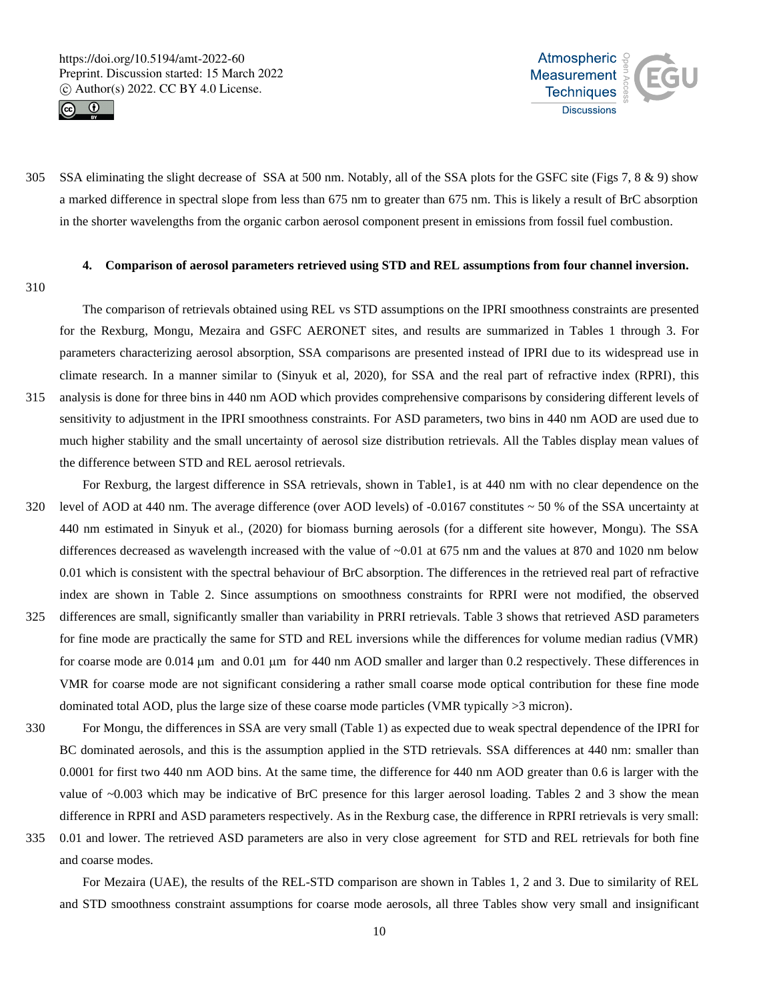



305 SSA eliminating the slight decrease of SSA at 500 nm. Notably, all of the SSA plots for the GSFC site (Figs 7, 8 & 9) show a marked difference in spectral slope from less than 675 nm to greater than 675 nm. This is likely a result of BrC absorption in the shorter wavelengths from the organic carbon aerosol component present in emissions from fossil fuel combustion.

## **4. Comparison of aerosol parameters retrieved using STD and REL assumptions from four channel inversion.**

310

The comparison of retrievals obtained using REL vs STD assumptions on the IPRI smoothness constraints are presented for the Rexburg, Mongu, Mezaira and GSFC AERONET sites, and results are summarized in Tables 1 through 3. For parameters characterizing aerosol absorption, SSA comparisons are presented instead of IPRI due to its widespread use in climate research. In a manner similar to (Sinyuk et al, 2020), for SSA and the real part of refractive index (RPRI), this 315 analysis is done for three bins in 440 nm AOD which provides comprehensive comparisons by considering different levels of sensitivity to adjustment in the IPRI smoothness constraints. For ASD parameters, two bins in 440 nm AOD are used due to much higher stability and the small uncertainty of aerosol size distribution retrievals. All the Tables display mean values of the difference between STD and REL aerosol retrievals.

- For Rexburg, the largest difference in SSA retrievals, shown in Table1, is at 440 nm with no clear dependence on the 320 level of AOD at 440 nm. The average difference (over AOD levels) of  $-0.0167$  constitutes  $\sim$  50 % of the SSA uncertainty at 440 nm estimated in Sinyuk et al., (2020) for biomass burning aerosols (for a different site however, Mongu). The SSA differences decreased as wavelength increased with the value of ~0.01 at 675 nm and the values at 870 and 1020 nm below 0.01 which is consistent with the spectral behaviour of BrC absorption. The differences in the retrieved real part of refractive index are shown in Table 2. Since assumptions on smoothness constraints for RPRI were not modified, the observed
- 325 differences are small, significantly smaller than variability in PRRI retrievals. Table 3 shows that retrieved ASD parameters for fine mode are practically the same for STD and REL inversions while the differences for volume median radius (VMR) for coarse mode are  $0.014 \mu m$  and  $0.01 \mu m$  for 440 nm AOD smaller and larger than 0.2 respectively. These differences in VMR for coarse mode are not significant considering a rather small coarse mode optical contribution for these fine mode dominated total AOD, plus the large size of these coarse mode particles (VMR typically >3 micron).
- 330 For Mongu, the differences in SSA are very small (Table 1) as expected due to weak spectral dependence of the IPRI for BC dominated aerosols, and this is the assumption applied in the STD retrievals. SSA differences at 440 nm: smaller than 0.0001 for first two 440 nm AOD bins. At the same time, the difference for 440 nm AOD greater than 0.6 is larger with the value of ~0.003 which may be indicative of BrC presence for this larger aerosol loading. Tables 2 and 3 show the mean difference in RPRI and ASD parameters respectively. As in the Rexburg case, the difference in RPRI retrievals is very small:
- 335 0.01 and lower. The retrieved ASD parameters are also in very close agreement for STD and REL retrievals for both fine and coarse modes.

For Mezaira (UAE), the results of the REL-STD comparison are shown in Tables 1, 2 and 3. Due to similarity of REL and STD smoothness constraint assumptions for coarse mode aerosols, all three Tables show very small and insignificant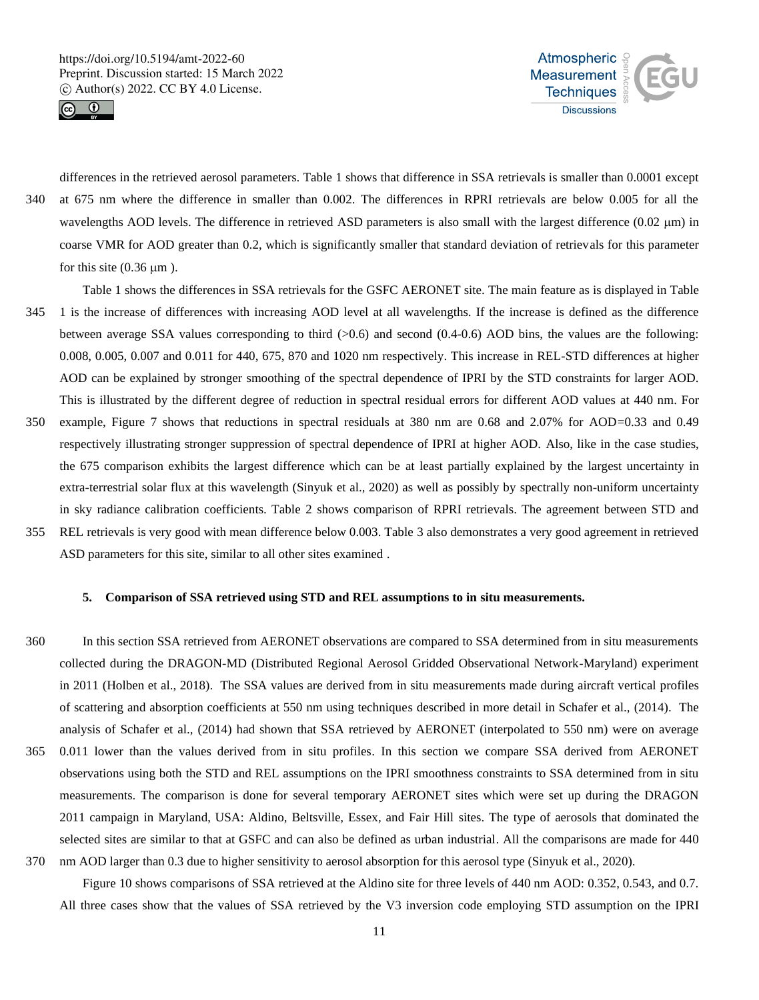



differences in the retrieved aerosol parameters. Table 1 shows that difference in SSA retrievals is smaller than 0.0001 except 340 at 675 nm where the difference in smaller than 0.002. The differences in RPRI retrievals are below 0.005 for all the wavelengths AOD levels. The difference in retrieved ASD parameters is also small with the largest difference  $(0.02 \mu m)$  in coarse VMR for AOD greater than 0.2, which is significantly smaller that standard deviation of retrievals for this parameter for this site  $(0.36 \mu m)$ .

- Table 1 shows the differences in SSA retrievals for the GSFC AERONET site. The main feature as is displayed in Table 345 1 is the increase of differences with increasing AOD level at all wavelengths. If the increase is defined as the difference between average SSA values corresponding to third  $(>0.6)$  and second  $(0.4-0.6)$  AOD bins, the values are the following: 0.008, 0.005, 0.007 and 0.011 for 440, 675, 870 and 1020 nm respectively. This increase in REL-STD differences at higher AOD can be explained by stronger smoothing of the spectral dependence of IPRI by the STD constraints for larger AOD. This is illustrated by the different degree of reduction in spectral residual errors for different AOD values at 440 nm. For
- 350 example, Figure 7 shows that reductions in spectral residuals at 380 nm are 0.68 and 2.07% for AOD=0.33 and 0.49 respectively illustrating stronger suppression of spectral dependence of IPRI at higher AOD. Also, like in the case studies, the 675 comparison exhibits the largest difference which can be at least partially explained by the largest uncertainty in extra-terrestrial solar flux at this wavelength (Sinyuk et al., 2020) as well as possibly by spectrally non-uniform uncertainty in sky radiance calibration coefficients. Table 2 shows comparison of RPRI retrievals. The agreement between STD and
- 355 REL retrievals is very good with mean difference below 0.003. Table 3 also demonstrates a very good agreement in retrieved ASD parameters for this site, similar to all other sites examined .

## **5. Comparison of SSA retrieved using STD and REL assumptions to in situ measurements.**

- 360 In this section SSA retrieved from AERONET observations are compared to SSA determined from in situ measurements collected during the DRAGON-MD (Distributed Regional Aerosol Gridded Observational Network-Maryland) experiment in 2011 (Holben et al., 2018). The SSA values are derived from in situ measurements made during aircraft vertical profiles of scattering and absorption coefficients at 550 nm using techniques described in more detail in Schafer et al., (2014). The analysis of Schafer et al., (2014) had shown that SSA retrieved by AERONET (interpolated to 550 nm) were on average 365 0.011 lower than the values derived from in situ profiles. In this section we compare SSA derived from AERONET observations using both the STD and REL assumptions on the IPRI smoothness constraints to SSA determined from in situ measurements. The comparison is done for several temporary AERONET sites which were set up during the DRAGON 2011 campaign in Maryland, USA: Aldino, Beltsville, Essex, and Fair Hill sites. The type of aerosols that dominated the selected sites are similar to that at GSFC and can also be defined as urban industrial. All the comparisons are made for 440
- 370 nm AOD larger than 0.3 due to higher sensitivity to aerosol absorption for this aerosol type (Sinyuk et al., 2020). Figure 10 shows comparisons of SSA retrieved at the Aldino site for three levels of 440 nm AOD: 0.352, 0.543, and 0.7. All three cases show that the values of SSA retrieved by the V3 inversion code employing STD assumption on the IPRI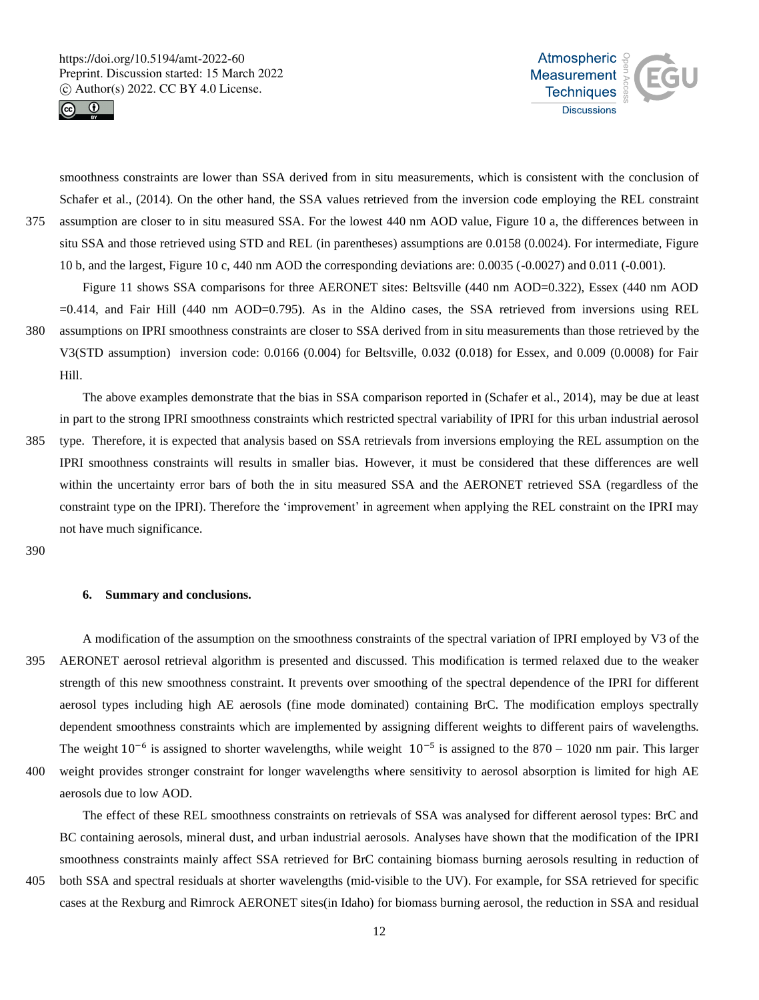



smoothness constraints are lower than SSA derived from in situ measurements, which is consistent with the conclusion of Schafer et al., (2014). On the other hand, the SSA values retrieved from the inversion code employing the REL constraint 375 assumption are closer to in situ measured SSA. For the lowest 440 nm AOD value, Figure 10 a, the differences between in situ SSA and those retrieved using STD and REL (in parentheses) assumptions are 0.0158 (0.0024). For intermediate, Figure 10 b, and the largest, Figure 10 c, 440 nm AOD the corresponding deviations are: 0.0035 (-0.0027) and 0.011 (-0.001).

Figure 11 shows SSA comparisons for three AERONET sites: Beltsville (440 nm AOD=0.322), Essex (440 nm AOD =0.414, and Fair Hill (440 nm AOD=0.795). As in the Aldino cases, the SSA retrieved from inversions using REL 380 assumptions on IPRI smoothness constraints are closer to SSA derived from in situ measurements than those retrieved by the V3(STD assumption) inversion code: 0.0166 (0.004) for Beltsville, 0.032 (0.018) for Essex, and 0.009 (0.0008) for Fair Hill.

The above examples demonstrate that the bias in SSA comparison reported in (Schafer et al., 2014), may be due at least in part to the strong IPRI smoothness constraints which restricted spectral variability of IPRI for this urban industrial aerosol 385 type. Therefore, it is expected that analysis based on SSA retrievals from inversions employing the REL assumption on the IPRI smoothness constraints will results in smaller bias. However, it must be considered that these differences are well within the uncertainty error bars of both the in situ measured SSA and the AERONET retrieved SSA (regardless of the constraint type on the IPRI). Therefore the 'improvement' in agreement when applying the REL constraint on the IPRI may

390

#### **6. Summary and conclusions.**

not have much significance.

A modification of the assumption on the smoothness constraints of the spectral variation of IPRI employed by V3 of the 395 AERONET aerosol retrieval algorithm is presented and discussed. This modification is termed relaxed due to the weaker strength of this new smoothness constraint. It prevents over smoothing of the spectral dependence of the IPRI for different aerosol types including high AE aerosols (fine mode dominated) containing BrC. The modification employs spectrally dependent smoothness constraints which are implemented by assigning different weights to different pairs of wavelengths. The weight  $10^{-6}$  is assigned to shorter wavelengths, while weight  $10^{-5}$  is assigned to the 870 – 1020 nm pair. This larger 400 weight provides stronger constraint for longer wavelengths where sensitivity to aerosol absorption is limited for high AE aerosols due to low AOD.

The effect of these REL smoothness constraints on retrievals of SSA was analysed for different aerosol types: BrC and BC containing aerosols, mineral dust, and urban industrial aerosols. Analyses have shown that the modification of the IPRI smoothness constraints mainly affect SSA retrieved for BrC containing biomass burning aerosols resulting in reduction of

405 both SSA and spectral residuals at shorter wavelengths (mid-visible to the UV). For example, for SSA retrieved for specific cases at the Rexburg and Rimrock AERONET sites(in Idaho) for biomass burning aerosol, the reduction in SSA and residual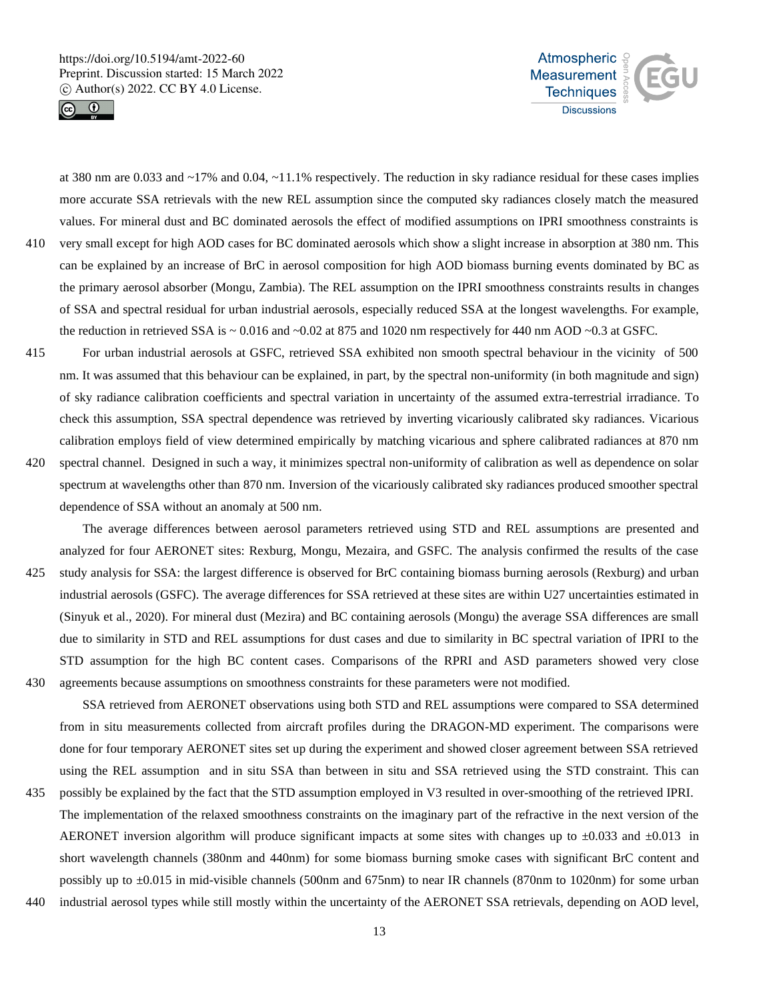



at 380 nm are 0.033 and  $\sim$ 17% and 0.04,  $\sim$ 11.1% respectively. The reduction in sky radiance residual for these cases implies more accurate SSA retrievals with the new REL assumption since the computed sky radiances closely match the measured values. For mineral dust and BC dominated aerosols the effect of modified assumptions on IPRI smoothness constraints is 410 very small except for high AOD cases for BC dominated aerosols which show a slight increase in absorption at 380 nm. This can be explained by an increase of BrC in aerosol composition for high AOD biomass burning events dominated by BC as the primary aerosol absorber (Mongu, Zambia). The REL assumption on the IPRI smoothness constraints results in changes of SSA and spectral residual for urban industrial aerosols, especially reduced SSA at the longest wavelengths. For example,

415 For urban industrial aerosols at GSFC, retrieved SSA exhibited non smooth spectral behaviour in the vicinity of 500 nm. It was assumed that this behaviour can be explained, in part, by the spectral non-uniformity (in both magnitude and sign) of sky radiance calibration coefficients and spectral variation in uncertainty of the assumed extra-terrestrial irradiance. To check this assumption, SSA spectral dependence was retrieved by inverting vicariously calibrated sky radiances. Vicarious calibration employs field of view determined empirically by matching vicarious and sphere calibrated radiances at 870 nm

the reduction in retrieved SSA is  $\sim 0.016$  and  $\sim 0.02$  at 875 and 1020 nm respectively for 440 nm AOD  $\sim 0.3$  at GSFC.

420 spectral channel. Designed in such a way, it minimizes spectral non-uniformity of calibration as well as dependence on solar spectrum at wavelengths other than 870 nm. Inversion of the vicariously calibrated sky radiances produced smoother spectral dependence of SSA without an anomaly at 500 nm.

The average differences between aerosol parameters retrieved using STD and REL assumptions are presented and analyzed for four AERONET sites: Rexburg, Mongu, Mezaira, and GSFC. The analysis confirmed the results of the case 425 study analysis for SSA: the largest difference is observed for BrC containing biomass burning aerosols (Rexburg) and urban industrial aerosols (GSFC). The average differences for SSA retrieved at these sites are within U27 uncertainties estimated in (Sinyuk et al., 2020). For mineral dust (Mezira) and BC containing aerosols (Mongu) the average SSA differences are small due to similarity in STD and REL assumptions for dust cases and due to similarity in BC spectral variation of IPRI to the STD assumption for the high BC content cases. Comparisons of the RPRI and ASD parameters showed very close 430 agreements because assumptions on smoothness constraints for these parameters were not modified.

SSA retrieved from AERONET observations using both STD and REL assumptions were compared to SSA determined from in situ measurements collected from aircraft profiles during the DRAGON-MD experiment. The comparisons were done for four temporary AERONET sites set up during the experiment and showed closer agreement between SSA retrieved using the REL assumption and in situ SSA than between in situ and SSA retrieved using the STD constraint. This can

- 435 possibly be explained by the fact that the STD assumption employed in V3 resulted in over-smoothing of the retrieved IPRI. The implementation of the relaxed smoothness constraints on the imaginary part of the refractive in the next version of the AERONET inversion algorithm will produce significant impacts at some sites with changes up to  $\pm 0.033$  and  $\pm 0.013$  in short wavelength channels (380nm and 440nm) for some biomass burning smoke cases with significant BrC content and possibly up to ±0.015 in mid-visible channels (500nm and 675nm) to near IR channels (870nm to 1020nm) for some urban
- 440 industrial aerosol types while still mostly within the uncertainty of the AERONET SSA retrievals, depending on AOD level,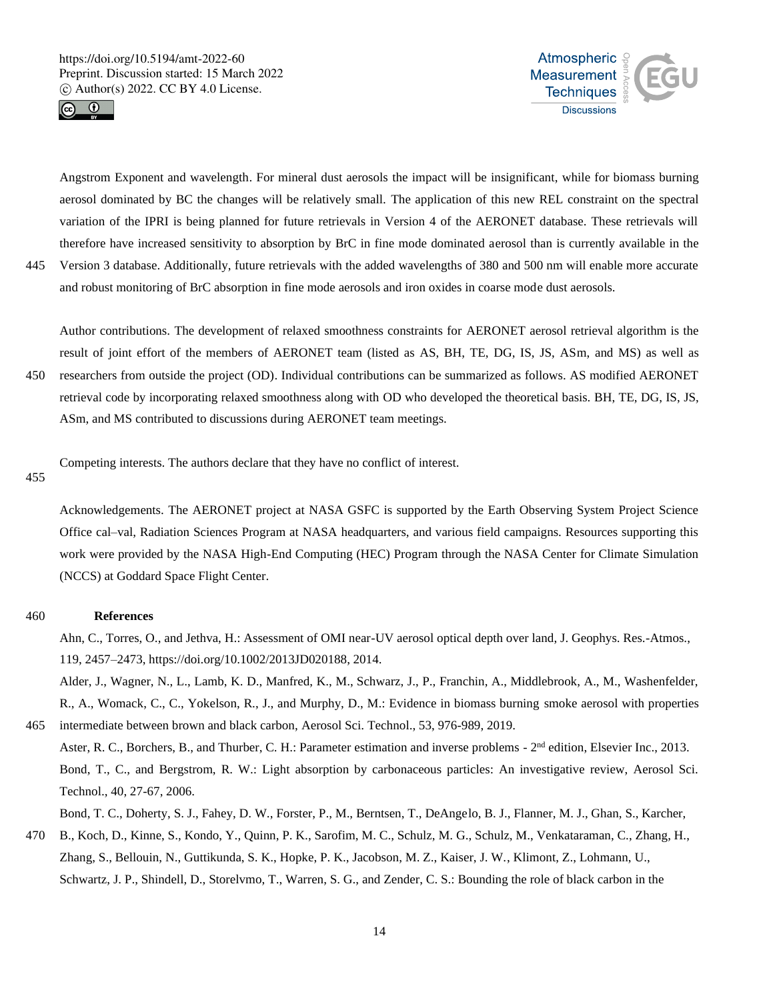



Angstrom Exponent and wavelength. For mineral dust aerosols the impact will be insignificant, while for biomass burning aerosol dominated by BC the changes will be relatively small. The application of this new REL constraint on the spectral variation of the IPRI is being planned for future retrievals in Version 4 of the AERONET database. These retrievals will therefore have increased sensitivity to absorption by BrC in fine mode dominated aerosol than is currently available in the 445 Version 3 database. Additionally, future retrievals with the added wavelengths of 380 and 500 nm will enable more accurate

and robust monitoring of BrC absorption in fine mode aerosols and iron oxides in coarse mode dust aerosols.

Author contributions. The development of relaxed smoothness constraints for AERONET aerosol retrieval algorithm is the result of joint effort of the members of AERONET team (listed as AS, BH, TE, DG, IS, JS, ASm, and MS) as well as 450 researchers from outside the project (OD). Individual contributions can be summarized as follows. AS modified AERONET retrieval code by incorporating relaxed smoothness along with OD who developed the theoretical basis. BH, TE, DG, IS, JS, ASm, and MS contributed to discussions during AERONET team meetings.

Competing interests. The authors declare that they have no conflict of interest.

455

Acknowledgements. The AERONET project at NASA GSFC is supported by the Earth Observing System Project Science Office cal–val, Radiation Sciences Program at NASA headquarters, and various field campaigns. Resources supporting this work were provided by the NASA High-End Computing (HEC) Program through the NASA Center for Climate Simulation (NCCS) at Goddard Space Flight Center.

# 460 **References**

Ahn, C., Torres, O., and Jethva, H.: Assessment of OMI near-UV aerosol optical depth over land, J. Geophys. Res.-Atmos., 119, 2457–2473, https://doi.org/10.1002/2013JD020188, 2014.

Alder, J., Wagner, N., L., Lamb, K. D., Manfred, K., M., Schwarz, J., P., Franchin, A., Middlebrook, A., M., Washenfelder, R., A., Womack, C., C., Yokelson, R., J., and Murphy, D., M.: Evidence in biomass burning smoke aerosol with properties 465 intermediate between brown and black carbon, Aerosol Sci. Technol., 53, 976-989, 2019.

Aster, R. C., Borchers, B., and Thurber, C. H.: Parameter estimation and inverse problems - 2<sup>nd</sup> edition, Elsevier Inc., 2013. Bond, T., C., and Bergstrom, R. W.: Light absorption by carbonaceous particles: An investigative review, Aerosol Sci. Technol., 40, 27-67, 2006.

Bond, T. C., Doherty, S. J., Fahey, D. W., Forster, P., M., Berntsen, T., DeAngelo, B. J., Flanner, M. J., Ghan, S., Karcher,

470 B., Koch, D., Kinne, S., Kondo, Y., Quinn, P. K., Sarofim, M. C., Schulz, M. G., Schulz, M., Venkataraman, C., Zhang, H., Zhang, S., Bellouin, N., Guttikunda, S. K., Hopke, P. K., Jacobson, M. Z., Kaiser, J. W., Klimont, Z., Lohmann, U., Schwartz, J. P., Shindell, D., Storelvmo, T., Warren, S. G., and Zender, C. S.: Bounding the role of black carbon in the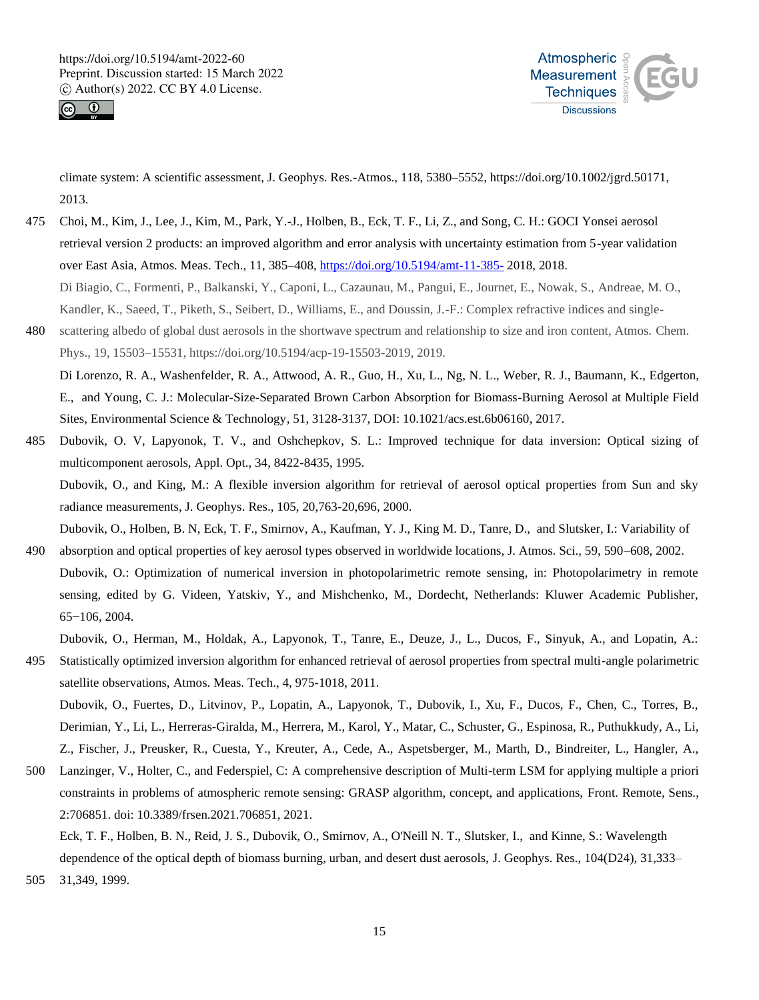



climate system: A scientific assessment, J. Geophys. Res.-Atmos., 118, 5380–5552, https://doi.org/10.1002/jgrd.50171, 2013.

- 475 Choi, M., Kim, J., Lee, J., Kim, M., Park, Y.-J., Holben, B., Eck, T. F., Li, Z., and Song, C. H.: GOCI Yonsei aerosol retrieval version 2 products: an improved algorithm and error analysis with uncertainty estimation from 5-year validation over East Asia, Atmos. Meas. Tech., 11, 385–408, https://doi.org/10.5194/amt-11-385- 2018, 2018. Di Biagio, C., Formenti, P., Balkanski, Y., Caponi, L., Cazaunau, M., Pangui, E., Journet, E., Nowak, S., Andreae, M. O., Kandler, K., Saeed, T., Piketh, S., Seibert, D., Williams, E., and Doussin, J.-F.: Complex refractive indices and single-
- 480 scattering albedo of global dust aerosols in the shortwave spectrum and relationship to size and iron content, Atmos. Chem. Phys., 19, 15503–15531, https://doi.org/10.5194/acp-19-15503-2019, 2019.

Di Lorenzo, R. A., Washenfelder, R. A., Attwood, A. R., Guo, H., Xu, L., Ng, N. L., Weber, R. J., Baumann, K., Edgerton, E., and Young, C. J.: Molecular-Size-Separated Brown Carbon Absorption for Biomass-Burning Aerosol at Multiple Field Sites, Environmental Science & Technology*,* 51, 3128-3137, DOI: 10.1021/acs.est.6b06160, 2017.

- 485 Dubovik, O. V, Lapyonok, T. V., and Oshchepkov, S. L.: Improved technique for data inversion: Optical sizing of multicomponent aerosols, Appl. Opt., 34, 8422-8435, 1995. Dubovik, O., and King, M.: A flexible inversion algorithm for retrieval of aerosol optical properties from Sun and sky radiance measurements, J. Geophys. Res., 105, 20,763-20,696, 2000. Dubovik, O., Holben, B. N, Eck, T. F., Smirnov, A., Kaufman, Y. J., King M. D., Tanre, D., and Slutsker, I.: Variability of
- 490 absorption and optical properties of key aerosol types observed in worldwide locations, J. Atmos. Sci., 59, 590–608, 2002. Dubovik, O.: Optimization of numerical inversion in photopolarimetric remote sensing, in: Photopolarimetry in remote sensing, edited by G. Videen, Yatskiv, Y., and Mishchenko, M., Dordecht, Netherlands: Kluwer Academic Publisher, 65−106, 2004.

Dubovik, O., Herman, M., Holdak, A., Lapyonok, T., Tanre, E., Deuze, J., L., Ducos, F., Sinyuk, A., and Lopatin, A.:

- 495 Statistically optimized inversion algorithm for enhanced retrieval of aerosol properties from spectral multi-angle polarimetric satellite observations, Atmos. Meas. Tech., 4, 975-1018, 2011. Dubovik, O., Fuertes, D., Litvinov, P., Lopatin, A., Lapyonok, T., Dubovik, I., Xu, F., Ducos, F., Chen, C., Torres, B., Derimian, Y., Li, L., Herreras-Giralda, M., Herrera, M., Karol, Y., Matar, C., Schuster, G., Espinosa, R., Puthukkudy, A., Li,
- Z., Fischer, J., Preusker, R., Cuesta, Y., Kreuter, A., Cede, A., Aspetsberger, M., Marth, D., Bindreiter, L., Hangler, A., 500 Lanzinger, V., Holter, C., and Federspiel, C: A comprehensive description of Multi-term LSM for applying multiple a priori constraints in problems of atmospheric remote sensing: GRASP algorithm, concept, and applications, Front. Remote, Sens., 2:706851. doi: 10.3389/frsen.2021.706851, 2021.

Eck, T. F., Holben, B. N., Reid, J. S., Dubovik, O., Smirnov, A., O'Neill N. T., Slutsker, I., and Kinne, S.: Wavelength dependence of the optical depth of biomass burning, urban, and desert dust aerosols, J. Geophys. Res., 104(D24), 31,333–

505 31,349, 1999.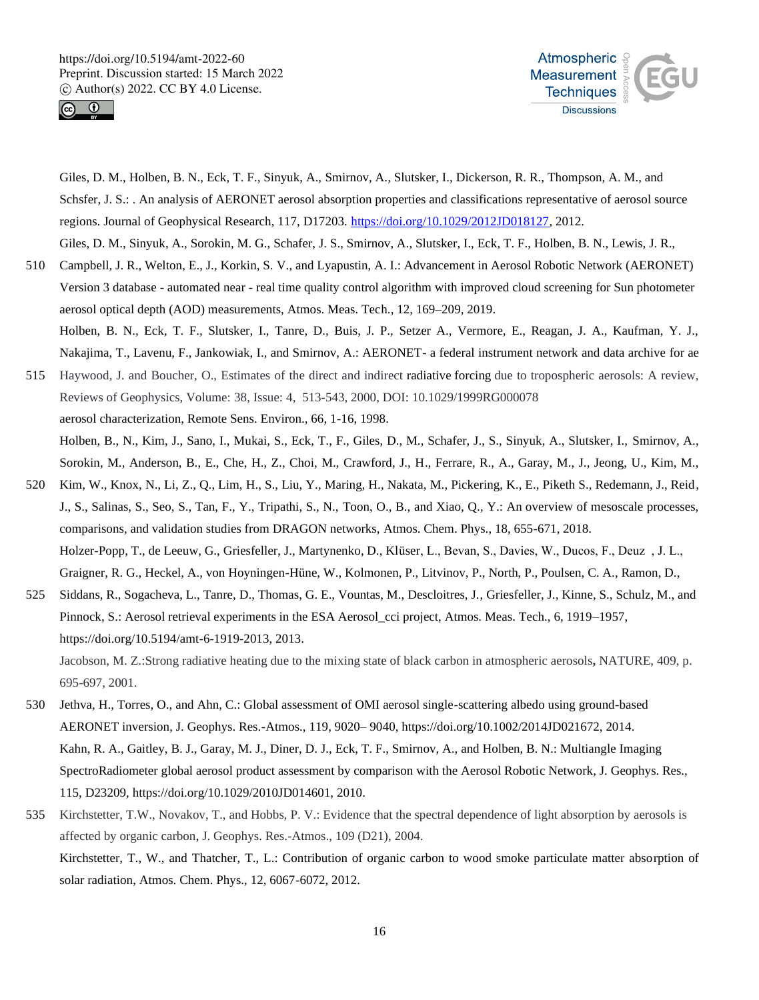

695-697, 2001.



Giles, D. M., Holben, B. N., Eck, T. F., Sinyuk, A., Smirnov, A., Slutsker, I., Dickerson, R. R., Thompson, A. M., and Schsfer, J. S.: . An analysis of AERONET aerosol absorption properties and classifications representative of aerosol source regions. Journal of Geophysical Research, 117, D17203. https://doi.org/10.1029/2012JD018127, 2012. Giles, D. M., Sinyuk, A., Sorokin, M. G., Schafer, J. S., Smirnov, A., Slutsker, I., Eck, T. F., Holben, B. N., Lewis, J. R.,

- 510 Campbell, J. R., Welton, E., J., Korkin, S. V., and Lyapustin, A. I.: Advancement in Aerosol Robotic Network (AERONET) Version 3 database - automated near - real time quality control algorithm with improved cloud screening for Sun photometer
- aerosol optical depth (AOD) measurements, Atmos. Meas. Tech., 12, 169–209, 2019. Holben, B. N., Eck, T. F., Slutsker, I., Tanre, D., Buis, J. P., Setzer A., Vermore, E., Reagan, J. A., Kaufman, Y. J., Nakajima, T., Lavenu, F., Jankowiak, I., and Smirnov, A.: AERONET- a federal instrument network and data archive for ae
- 515 Haywood, J. and Boucher, O., Estimates of the direct and indirect radiative forcing due to tropospheric aerosols: A review, Reviews of Geophysics, Volume: 38, Issue: 4, 513-543, 2000, DOI: 10.1029/1999RG000078 aerosol characterization, Remote Sens. Environ., 66, 1-16, 1998. Holben, B., N., Kim, J., Sano, I., Mukai, S., Eck, T., F., Giles, D., M., Schafer, J., S., Sinyuk, A., Slutsker, I., Smirnov, A., Sorokin, M., Anderson, B., E., Che, H., Z., Choi, M., Crawford, J., H., Ferrare, R., A., Garay, M., J., Jeong, U., Kim, M.,
- 520 Kim, W., Knox, N., Li, Z., Q., Lim, H., S., Liu, Y., Maring, H., Nakata, M., Pickering, K., E., Piketh S., Redemann, J., Reid, J., S., Salinas, S., Seo, S., Tan, F., Y., Tripathi, S., N., Toon, O., B., and Xiao, Q., Y.: An overview of mesoscale processes, comparisons, and validation studies from DRAGON networks, Atmos. Chem. Phys., 18, 655-671, 2018. Holzer-Popp, T., de Leeuw, G., Griesfeller, J., Martynenko, D., Klüser, L., Bevan, S., Davies, W., Ducos, F., Deuz , J. L., Graigner, R. G., Heckel, A., von Hoyningen-Hüne, W., Kolmonen, P., Litvinov, P., North, P., Poulsen, C. A., Ramon, D.,
- 525 Siddans, R., Sogacheva, L., Tanre, D., Thomas, G. E., Vountas, M., Descloitres, J., Griesfeller, J., Kinne, S., Schulz, M., and Pinnock, S.: Aerosol retrieval experiments in the ESA Aerosol\_cci project, Atmos. Meas. Tech., 6, 1919–1957, https://doi.org/10.5194/amt-6-1919-2013, 2013. Jacobson, M. Z.:Strong radiative heating due to the mixing state of black carbon in atmospheric aerosols**,** NATURE, 409, p.
- 530 Jethva, H., Torres, O., and Ahn, C.: Global assessment of OMI aerosol single-scattering albedo using ground-based AERONET inversion, J. Geophys. Res.-Atmos., 119, 9020– 9040, https://doi.org/10.1002/2014JD021672, 2014. Kahn, R. A., Gaitley, B. J., Garay, M. J., Diner, D. J., Eck, T. F., Smirnov, A., and Holben, B. N.: Multiangle Imaging SpectroRadiometer global aerosol product assessment by comparison with the Aerosol Robotic Network, J. Geophys. Res., 115, D23209, https://doi.org/10.1029/2010JD014601, 2010.
- 535 Kirchstetter, T.W., Novakov, T., and Hobbs, P. V.: Evidence that the spectral dependence of light absorption by aerosols is affected by organic carbon, J. Geophys. Res.-Atmos., 109 (D21), 2004. Kirchstetter, T., W., and Thatcher, T., L.: Contribution of organic carbon to wood smoke particulate matter absorption of solar radiation, Atmos. Chem. Phys., 12, 6067-6072, 2012.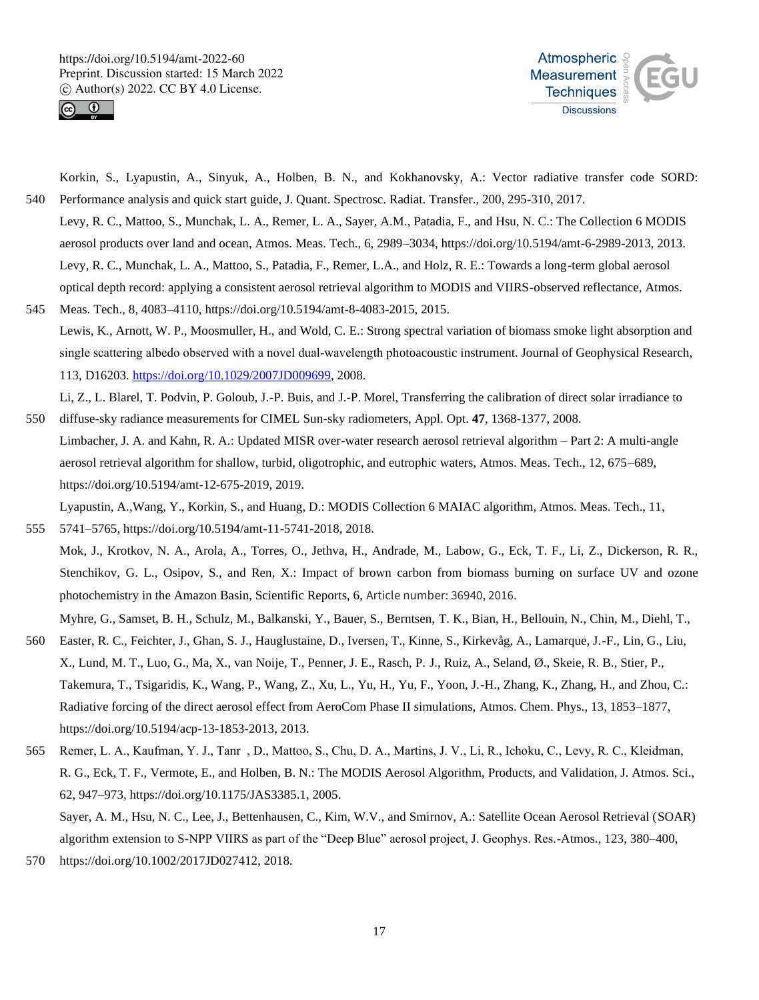



Korkin, S., Lyapustin, A., Sinyuk, A., Holben, B. N., and Kokhanovsky, A.: Vector radiative transfer code SORD: 540 Performance analysis and quick start guide, J. Quant. Spectrosc. Radiat. Transfer., 200, 295-310, 2017.

- Levy, R. C., Mattoo, S., Munchak, L. A., Remer, L. A., Sayer, A.M., Patadia, F., and Hsu, N. C.: The Collection 6 MODIS aerosol products over land and ocean, Atmos. Meas. Tech., 6, 2989–3034, https://doi.org/10.5194/amt-6-2989-2013, 2013. Levy, R. C., Munchak, L. A., Mattoo, S., Patadia, F., Remer, L.A., and Holz, R. E.: Towards a long-term global aerosol optical depth record: applying a consistent aerosol retrieval algorithm to MODIS and VIIRS-observed reflectance, Atmos.
- 545 Meas. Tech., 8, 4083–4110, https://doi.org/10.5194/amt-8-4083-2015, 2015. Lewis, K., Arnott, W. P., Moosmuller, H., and Wold, C. E.: Strong spectral variation of biomass smoke light absorption and single scattering albedo observed with a novel dual-wavelength photoacoustic instrument. Journal of Geophysical Research, 113, D16203. https://doi.org/10.1029/2007JD009699, 2008.

Li, Z., L. Blarel, T. Podvin, P. Goloub, J.-P. Buis, and J.-P. Morel, Transferring the calibration of direct solar irradiance to 550 diffuse-sky radiance measurements for CIMEL Sun-sky radiometers, Appl. Opt. **47**, 1368-1377, 2008.

Limbacher, J. A. and Kahn, R. A.: Updated MISR over-water research aerosol retrieval algorithm – Part 2: A multi-angle aerosol retrieval algorithm for shallow, turbid, oligotrophic, and eutrophic waters, Atmos. Meas. Tech., 12, 675–689, https://doi.org/10.5194/amt-12-675-2019, 2019.

Lyapustin, A.,Wang, Y., Korkin, S., and Huang, D.: MODIS Collection 6 MAIAC algorithm, Atmos. Meas. Tech., 11, 555 5741–5765, https://doi.org/10.5194/amt-11-5741-2018, 2018.

Mok, J., Krotkov, N. A., Arola, A., Torres, O., Jethva, H., Andrade, M., Labow, G., Eck, T. F., Li, Z., Dickerson, R. R., Stenchikov, G. L., Osipov, S., and Ren, X.: Impact of brown carbon from biomass burning on surface UV and ozone photochemistry in the Amazon Basin, Scientific Reports, 6, Article number: 36940, 2016. Myhre, G., Samset, B. H., Schulz, M., Balkanski, Y., Bauer, S., Berntsen, T. K., Bian, H., Bellouin, N., Chin, M., Diehl, T.,

- 560 Easter, R. C., Feichter, J., Ghan, S. J., Hauglustaine, D., Iversen, T., Kinne, S., Kirkevåg, A., Lamarque, J.-F., Lin, G., Liu, X., Lund, M. T., Luo, G., Ma, X., van Noije, T., Penner, J. E., Rasch, P. J., Ruiz, A., Seland, Ø., Skeie, R. B., Stier, P., Takemura, T., Tsigaridis, K., Wang, P., Wang, Z., Xu, L., Yu, H., Yu, F., Yoon, J.-H., Zhang, K., Zhang, H., and Zhou, C.: Radiative forcing of the direct aerosol effect from AeroCom Phase II simulations, Atmos. Chem. Phys., 13, 1853–1877, https://doi.org/10.5194/acp-13-1853-2013, 2013.
- 565 Remer, L. A., Kaufman, Y. J., Tanr , D., Mattoo, S., Chu, D. A., Martins, J. V., Li, R., Ichoku, C., Levy, R. C., Kleidman, R. G., Eck, T. F., Vermote, E., and Holben, B. N.: The MODIS Aerosol Algorithm, Products, and Validation, J. Atmos. Sci., 62, 947–973, https://doi.org/10.1175/JAS3385.1, 2005. Sayer, A. M., Hsu, N. C., Lee, J., Bettenhausen, C., Kim, W.V., and Smirnov, A.: Satellite Ocean Aerosol Retrieval (SOAR) algorithm extension to S-NPP VIIRS as part of the "Deep Blue" aerosol project, J. Geophys. Res.-Atmos., 123, 380–400,
- 570 https://doi.org/10.1002/2017JD027412, 2018.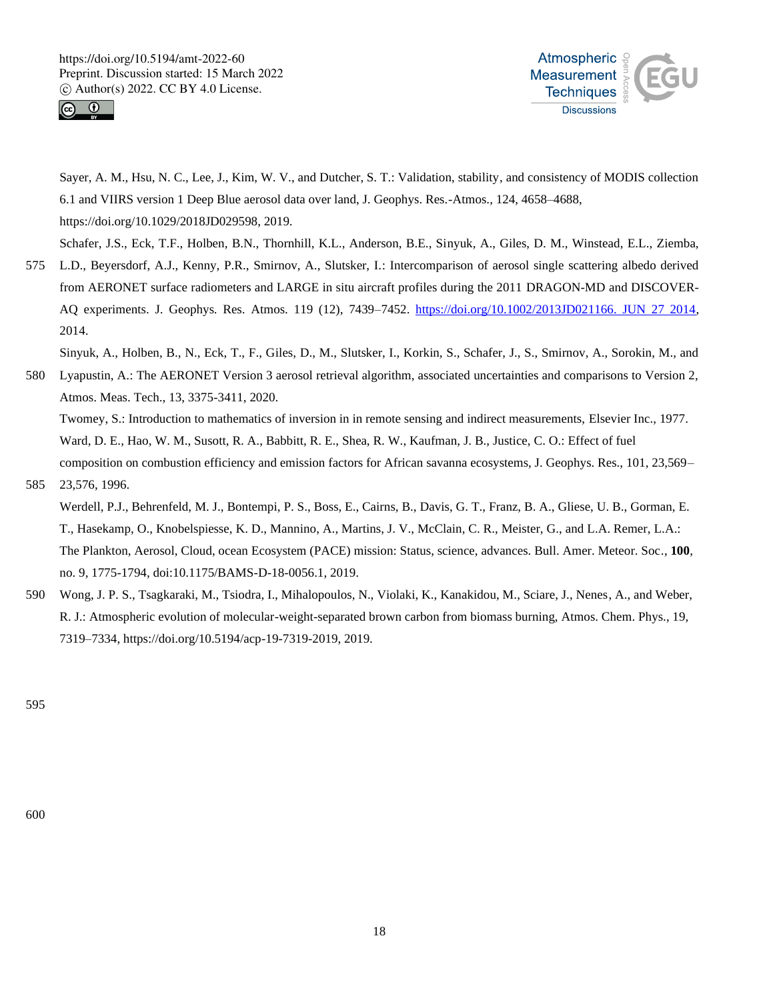



Sayer, A. M., Hsu, N. C., Lee, J., Kim, W. V., and Dutcher, S. T.: Validation, stability, and consistency of MODIS collection 6.1 and VIIRS version 1 Deep Blue aerosol data over land, J. Geophys. Res.-Atmos., 124, 4658–4688, https://doi.org/10.1029/2018JD029598, 2019.

Schafer, J.S., Eck, T.F., Holben, B.N., Thornhill, K.L., Anderson, B.E., Sinyuk, A., Giles, D. M., Winstead, E.L., Ziemba,

575 L.D., Beyersdorf, A.J., Kenny, P.R., Smirnov, A., Slutsker, I.: Intercomparison of aerosol single scattering albedo derived from AERONET surface radiometers and LARGE in situ aircraft profiles during the 2011 DRAGON-MD and DISCOVER-AQ experiments. J. Geophys. Res. Atmos. 119 (12), 7439–7452. https://doi.org/10.1002/2013JD021166. JUN 27 2014, 2014.

Sinyuk, A., Holben, B., N., Eck, T., F., Giles, D., M., Slutsker, I., Korkin, S., Schafer, J., S., Smirnov, A., Sorokin, M., and

580 Lyapustin, A.: The AERONET Version 3 aerosol retrieval algorithm, associated uncertainties and comparisons to Version 2, Atmos. Meas. Tech., 13, 3375-3411, 2020.

Twomey, S.: Introduction to mathematics of inversion in in remote sensing and indirect measurements, Elsevier Inc., 1977. Ward, D. E., Hao, W. M., Susott, R. A., Babbitt, R. E., Shea, R. W., Kaufman, J. B., Justice, C. O.: Effect of fuel composition on combustion efficiency and emission factors for African savanna ecosystems, J. Geophys. Res., 101, 23,569–

585 23,576, 1996.

Werdell, P.J., Behrenfeld, M. J., Bontempi, P. S., Boss, E., Cairns, B., Davis, G. T., Franz, B. A., Gliese, U. B., Gorman, E. T., Hasekamp, O., Knobelspiesse, K. D., Mannino, A., Martins, J. V., McClain, C. R., Meister, G., and L.A. Remer, L.A.: The Plankton, Aerosol, Cloud, ocean Ecosystem (PACE) mission: Status, science, advances. Bull. Amer. Meteor. Soc*.*, **100**, no. 9, 1775-1794, doi:10.1175/BAMS-D-18-0056.1, 2019.

590 Wong, J. P. S., Tsagkaraki, M., Tsiodra, I., Mihalopoulos, N., Violaki, K., Kanakidou, M., Sciare, J., Nenes, A., and Weber, R. J.: Atmospheric evolution of molecular-weight-separated brown carbon from biomass burning, Atmos. Chem. Phys., 19, 7319–7334, https://doi.org/10.5194/acp-19-7319-2019, 2019.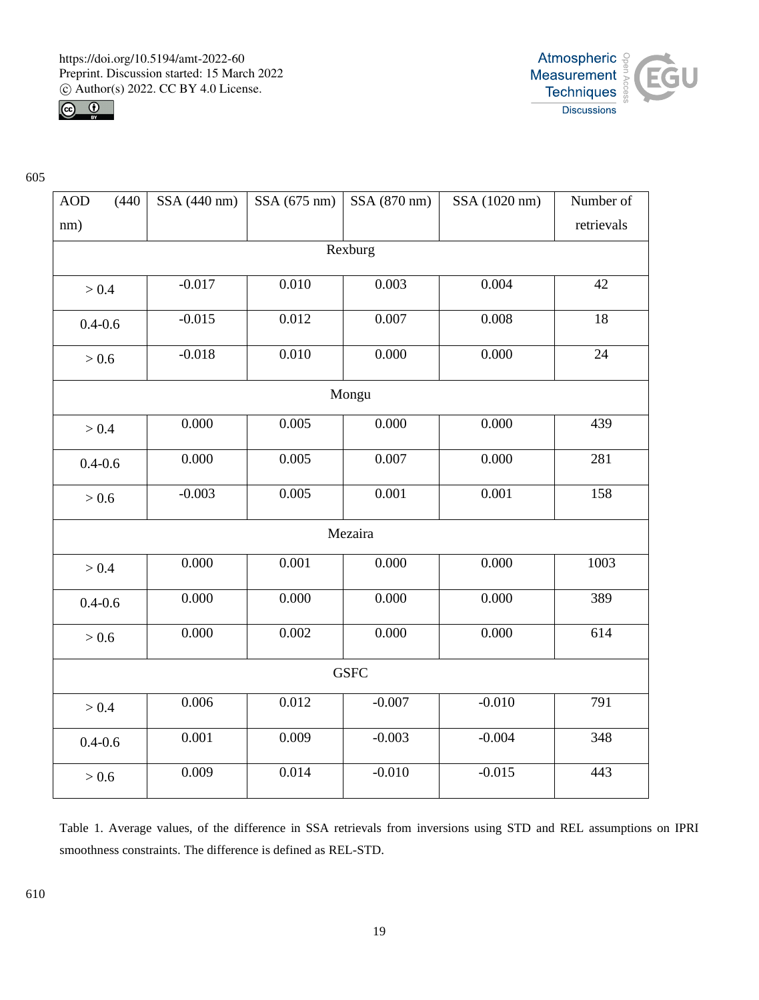



| <b>AOD</b>  | (440) | SSA (440 nm) | SSA (675 nm) | SSA (870 nm) | SSA (1020 nm) | Number of  |  |  |
|-------------|-------|--------------|--------------|--------------|---------------|------------|--|--|
|             |       |              |              |              |               |            |  |  |
| nm)         |       |              |              |              |               | retrievals |  |  |
| Rexburg     |       |              |              |              |               |            |  |  |
| > 0.4       |       | $-0.017$     | 0.010        | 0.003        | 0.004         | 42         |  |  |
| $0.4 - 0.6$ |       | $-0.015$     | 0.012        | 0.007        | 0.008         | 18         |  |  |
| > 0.6       |       | $-0.018$     | 0.010        | 0.000        | 0.000         | 24         |  |  |
| Mongu       |       |              |              |              |               |            |  |  |
| > 0.4       |       | 0.000        | 0.005        | 0.000        | 0.000         | 439        |  |  |
| $0.4 - 0.6$ |       | 0.000        | 0.005        | 0.007        | 0.000         | 281        |  |  |
| > 0.6       |       | $-0.003$     | 0.005        | 0.001        | 0.001         | 158        |  |  |
| Mezaira     |       |              |              |              |               |            |  |  |
| > 0.4       |       | 0.000        | 0.001        | 0.000        | 0.000         | 1003       |  |  |
| $0.4 - 0.6$ |       | 0.000        | 0.000        | 0.000        | 0.000         | 389        |  |  |
| > 0.6       |       | 0.000        | 0.002        | 0.000        | 0.000         | 614        |  |  |
|             |       |              |              | <b>GSFC</b>  |               |            |  |  |
| > 0.4       |       | 0.006        | 0.012        | $-0.007$     | $-0.010$      | 791        |  |  |
| $0.4 - 0.6$ |       | 0.001        | 0.009        | $-0.003$     | $-0.004$      | 348        |  |  |
| > 0.6       |       | 0.009        | 0.014        | $-0.010$     | $-0.015$      | 443        |  |  |

Table 1. Average values, of the difference in SSA retrievals from inversions using STD and REL assumptions on IPRI smoothness constraints. The difference is defined as REL-STD.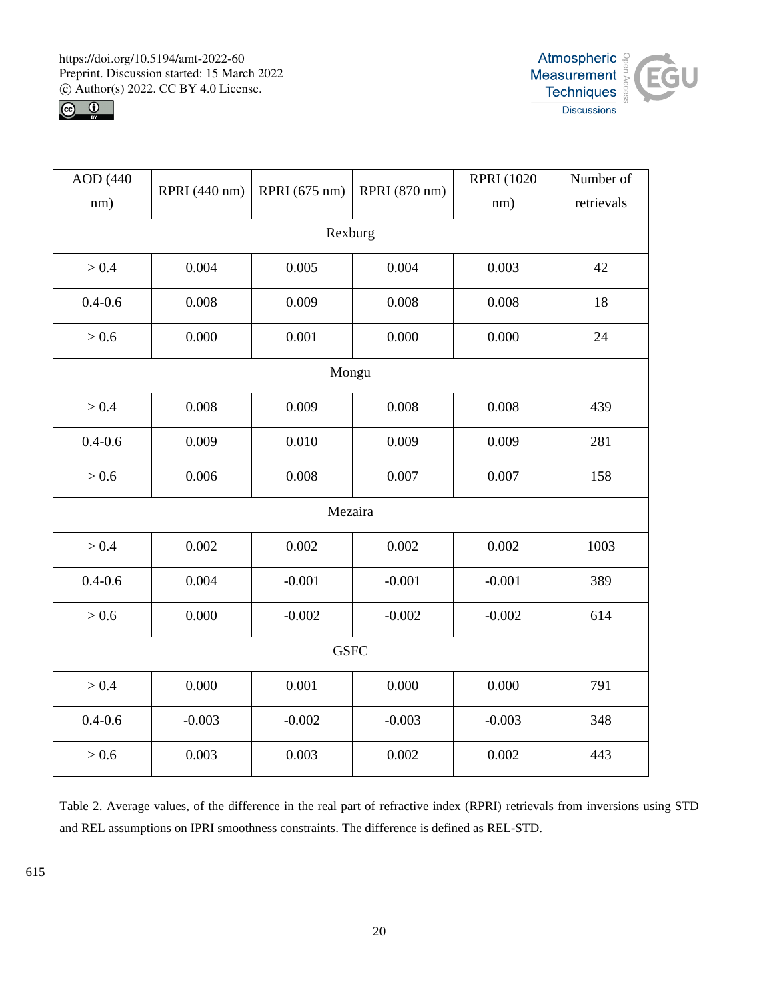



| AOD (440    |               |               |               | <b>RPRI</b> (1020) | Number of  |  |  |  |
|-------------|---------------|---------------|---------------|--------------------|------------|--|--|--|
| nm)         | RPRI (440 nm) | RPRI (675 nm) | RPRI (870 nm) | nm)                | retrievals |  |  |  |
| Rexburg     |               |               |               |                    |            |  |  |  |
| > 0.4       | 0.004         | 0.005         | 0.004         | 0.003              | 42         |  |  |  |
| $0.4 - 0.6$ | 0.008         | 0.009         | 0.008         | 0.008              | 18         |  |  |  |
| > 0.6       | 0.000         | 0.001         | 0.000         | 0.000              | 24         |  |  |  |
| Mongu       |               |               |               |                    |            |  |  |  |
| > 0.4       | 0.008         | 0.009         | 0.008         | 0.008              | 439        |  |  |  |
| $0.4 - 0.6$ | 0.009         | 0.010         | 0.009         | 0.009              | 281        |  |  |  |
| > 0.6       | 0.006         | 0.008         | 0.007         | 0.007              | 158        |  |  |  |
| Mezaira     |               |               |               |                    |            |  |  |  |
| > 0.4       | 0.002         | 0.002         | 0.002         | 0.002              | 1003       |  |  |  |
| $0.4 - 0.6$ | 0.004         | $-0.001$      | $-0.001$      | $-0.001$           | 389        |  |  |  |
| > 0.6       | 0.000         | $-0.002$      | $-0.002$      | $-0.002$           | 614        |  |  |  |
| <b>GSFC</b> |               |               |               |                    |            |  |  |  |
| > 0.4       | 0.000         | 0.001         | 0.000         | 0.000              | 791        |  |  |  |
| $0.4 - 0.6$ | $-0.003$      | $-0.002$      | $-0.003$      | $-0.003$           | 348        |  |  |  |
| > 0.6       | 0.003         | 0.003         | 0.002         | 0.002              | 443        |  |  |  |

Table 2. Average values, of the difference in the real part of refractive index (RPRI) retrievals from inversions using STD and REL assumptions on IPRI smoothness constraints. The difference is defined as REL-STD.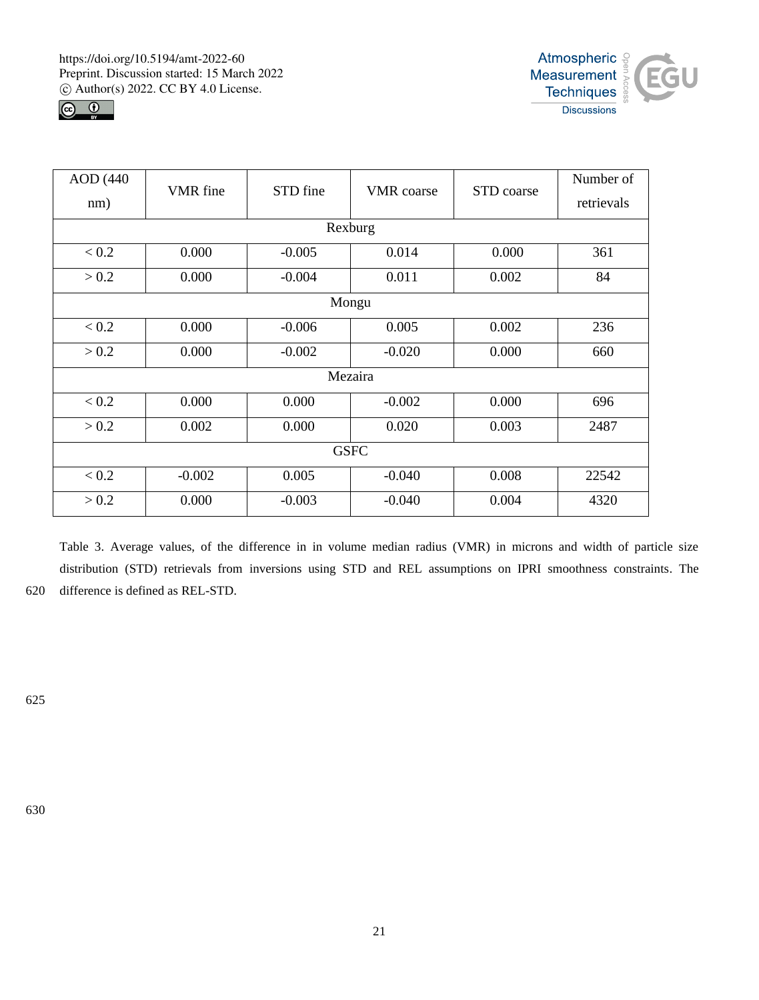



| <b>AOD</b> (440) | VMR fine | STD fine | <b>VMR</b> coarse | STD coarse | Number of  |  |  |  |
|------------------|----------|----------|-------------------|------------|------------|--|--|--|
| nm)              |          |          |                   |            | retrievals |  |  |  |
| Rexburg          |          |          |                   |            |            |  |  |  |
| < 0.2            | 0.000    | $-0.005$ | 0.014             | 0.000      | 361        |  |  |  |
| > 0.2            | 0.000    | $-0.004$ | 0.011             | 0.002      | 84         |  |  |  |
| Mongu            |          |          |                   |            |            |  |  |  |
| < 0.2            | 0.000    | $-0.006$ | 0.005             | 0.002      | 236        |  |  |  |
| > 0.2            | 0.000    | $-0.002$ | $-0.020$          | 0.000      | 660        |  |  |  |
| Mezaira          |          |          |                   |            |            |  |  |  |
| < 0.2            | 0.000    | 0.000    | $-0.002$          | 0.000      | 696        |  |  |  |
| > 0.2            | 0.002    | 0.000    | 0.020             | 0.003      | 2487       |  |  |  |
| <b>GSFC</b>      |          |          |                   |            |            |  |  |  |
| < 0.2            | $-0.002$ | 0.005    | $-0.040$          | 0.008      | 22542      |  |  |  |
| > 0.2            | 0.000    | $-0.003$ | $-0.040$          | 0.004      | 4320       |  |  |  |
|                  |          |          |                   |            |            |  |  |  |

Table 3. Average values, of the difference in in volume median radius (VMR) in microns and width of particle size distribution (STD) retrievals from inversions using STD and REL assumptions on IPRI smoothness constraints. The 620 difference is defined as REL-STD.

625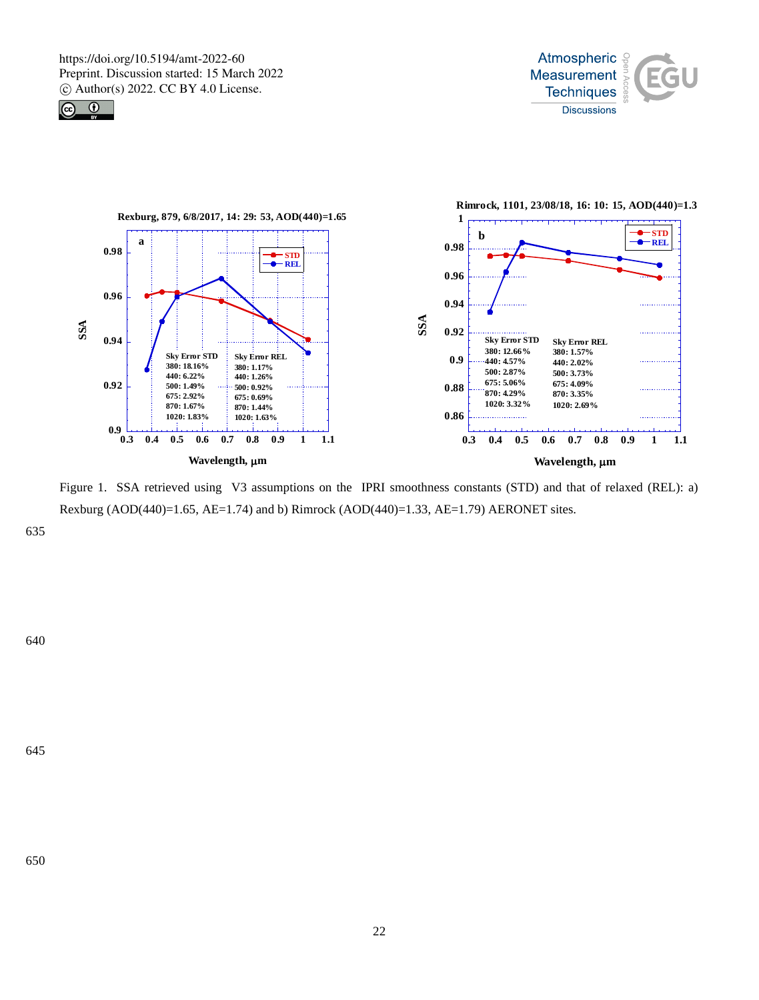





Figure 1. SSA retrieved using V3 assumptions on the IPRI smoothness constants (STD) and that of relaxed (REL): a) Rexburg (AOD(440)=1.65, AE=1.74) and b) Rimrock (AOD(440)=1.33, AE=1.79) AERONET sites.

635

645

640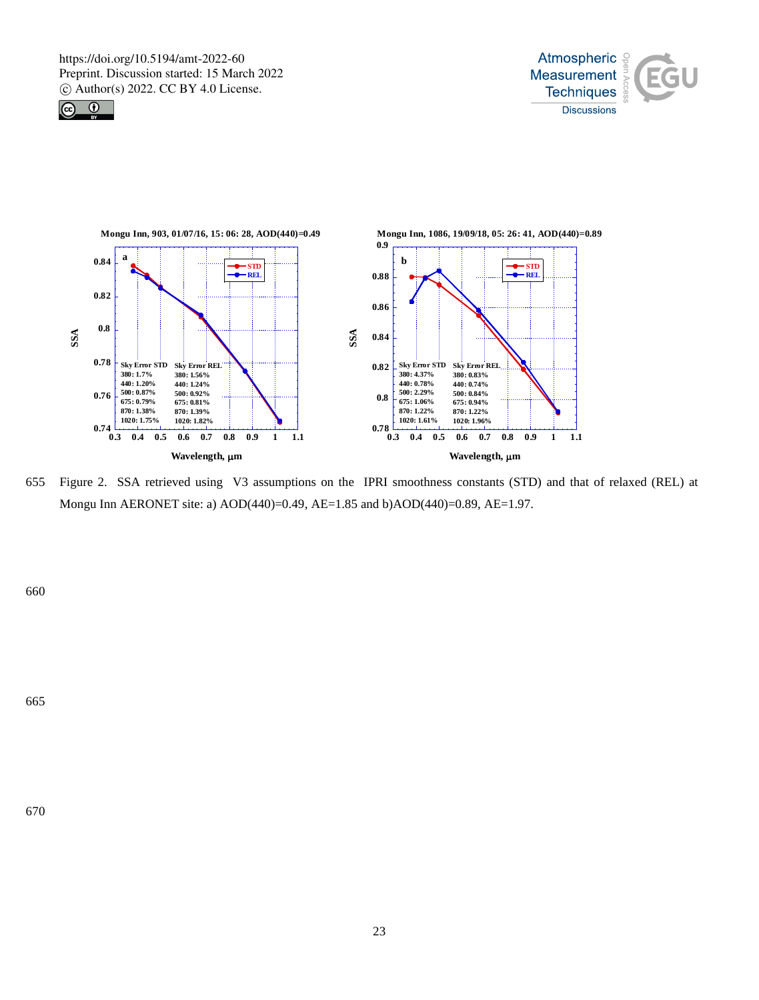





655 Figure 2. SSA retrieved using V3 assumptions on the IPRI smoothness constants (STD) and that of relaxed (REL) at Mongu Inn AERONET site: a) AOD(440)=0.49, AE=1.85 and b)AOD(440)=0.89, AE=1.97.

660

665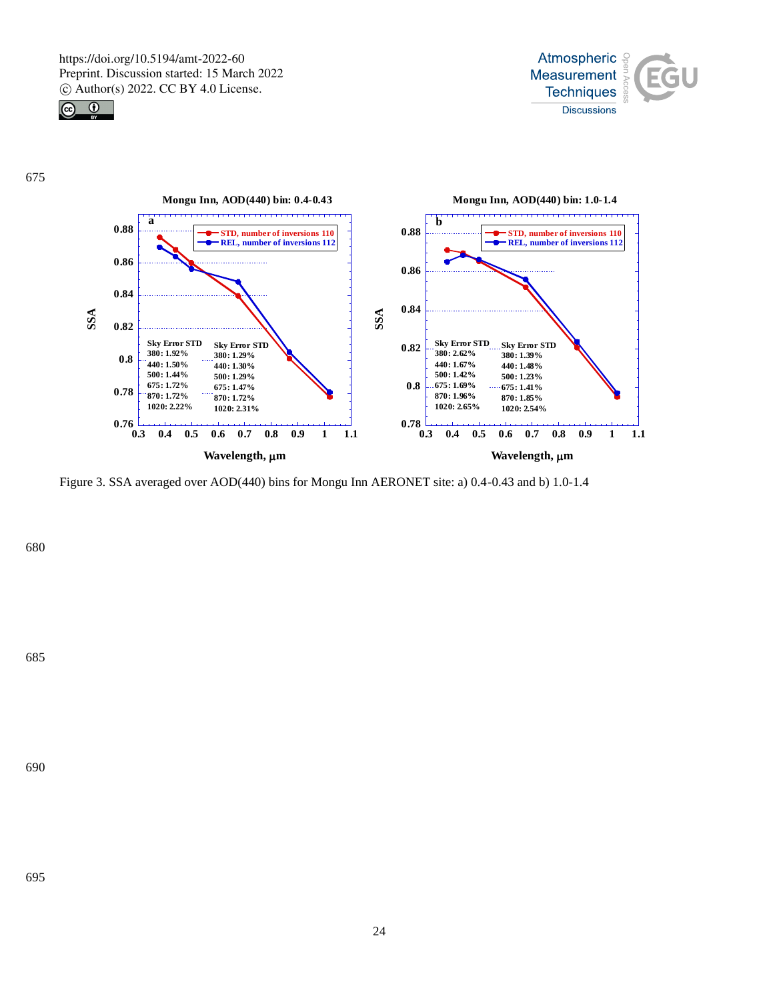







Figure 3. SSA averaged over AOD(440) bins for Mongu Inn AERONET site: a) 0.4-0.43 and b) 1.0-1.4

680

685

690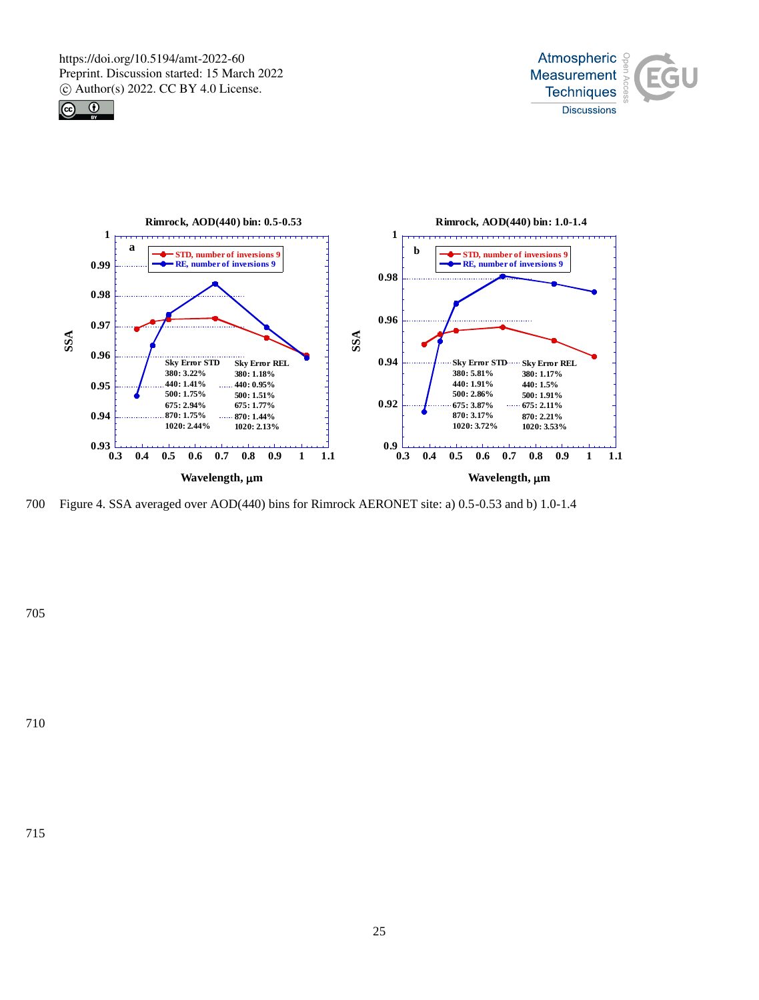





700 Figure 4. SSA averaged over AOD(440) bins for Rimrock AERONET site: a) 0.5-0.53 and b) 1.0-1.4

705

715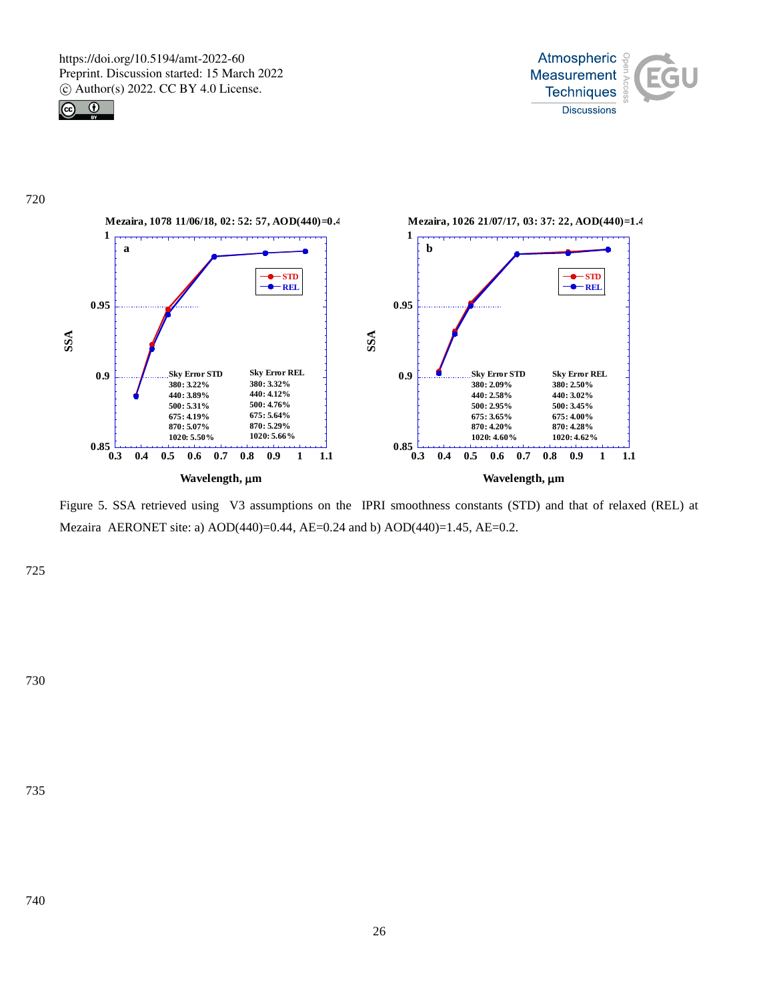







Figure 5. SSA retrieved using V3 assumptions on the IPRI smoothness constants (STD) and that of relaxed (REL) at Mezaira AERONET site: a) AOD(440)=0.44, AE=0.24 and b) AOD(440)=1.45, AE=0.2.

725

730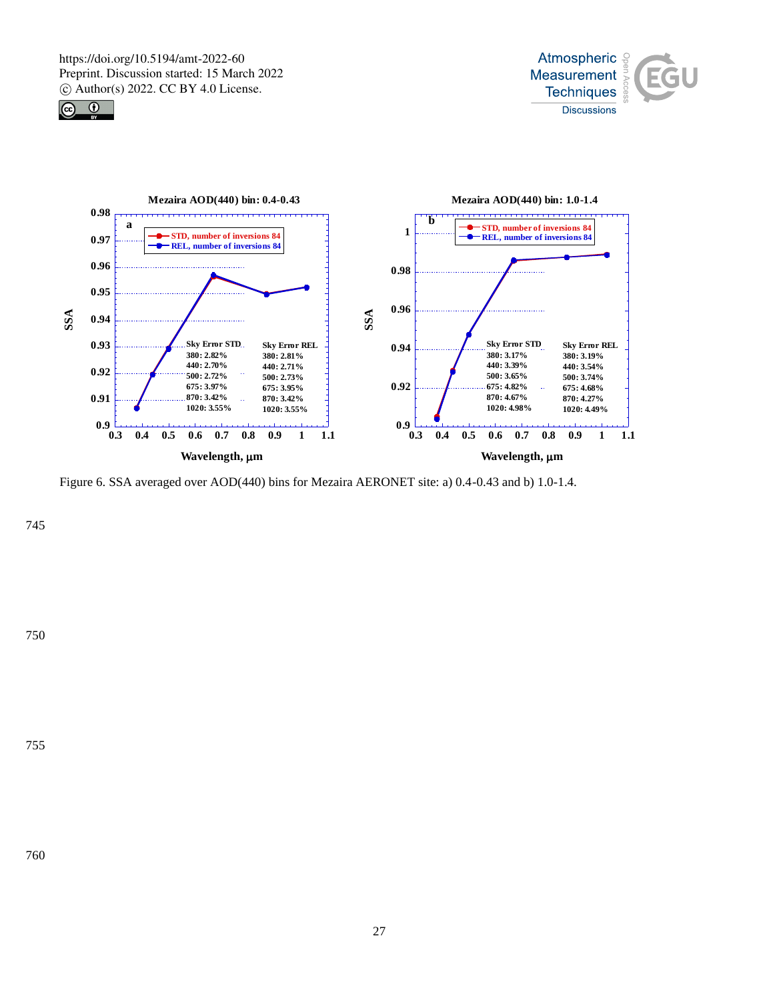





Figure 6. SSA averaged over AOD(440) bins for Mezaira AERONET site: a) 0.4-0.43 and b) 1.0-1.4.

745

755

750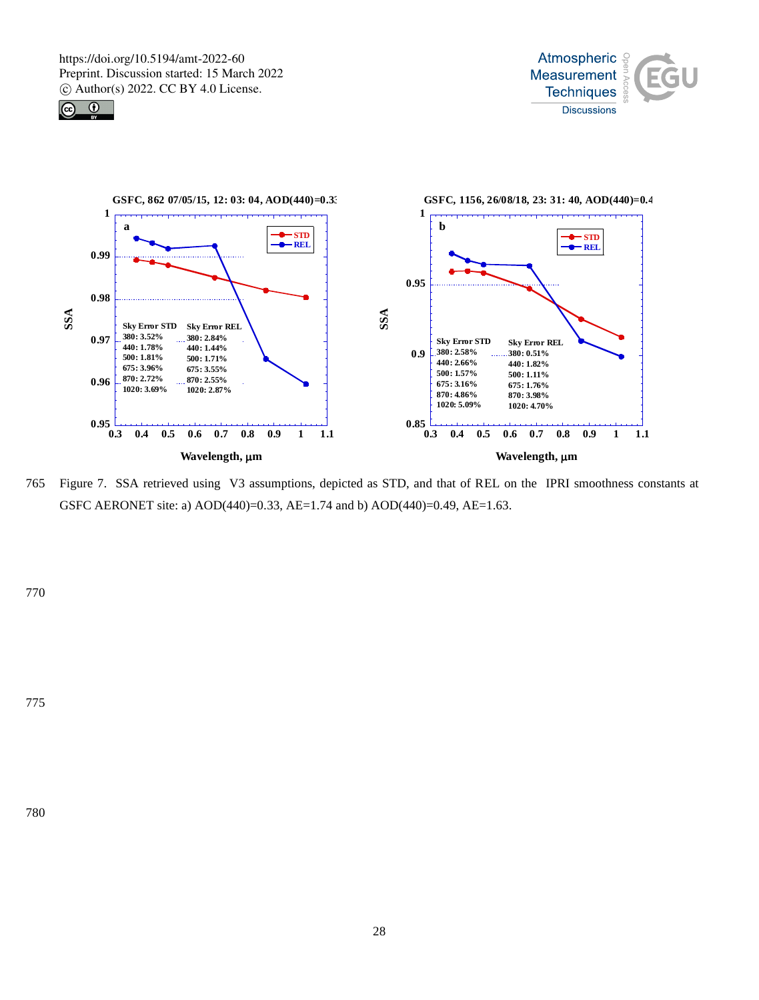





765 Figure 7. SSA retrieved using V3 assumptions, depicted as STD, and that of REL on the IPRI smoothness constants at GSFC AERONET site: a) AOD(440)=0.33, AE=1.74 and b) AOD(440)=0.49, AE=1.63.

770

775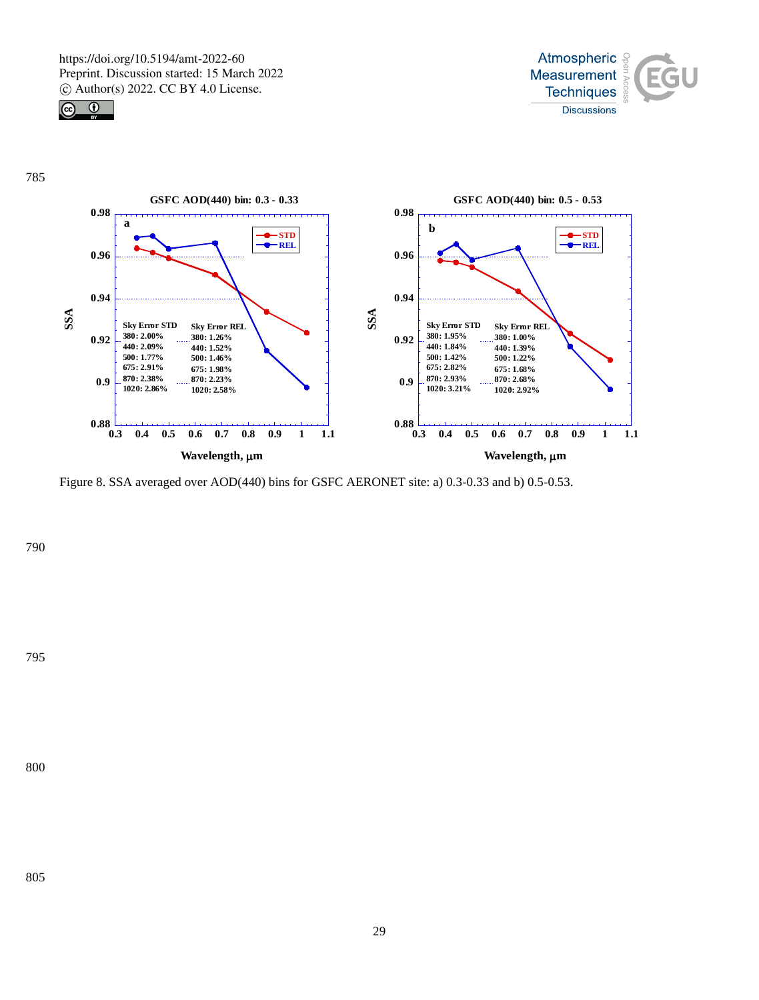





Figure 8. SSA averaged over AOD(440) bins for GSFC AERONET site: a) 0.3-0.33 and b) 0.5-0.53.

790

795

800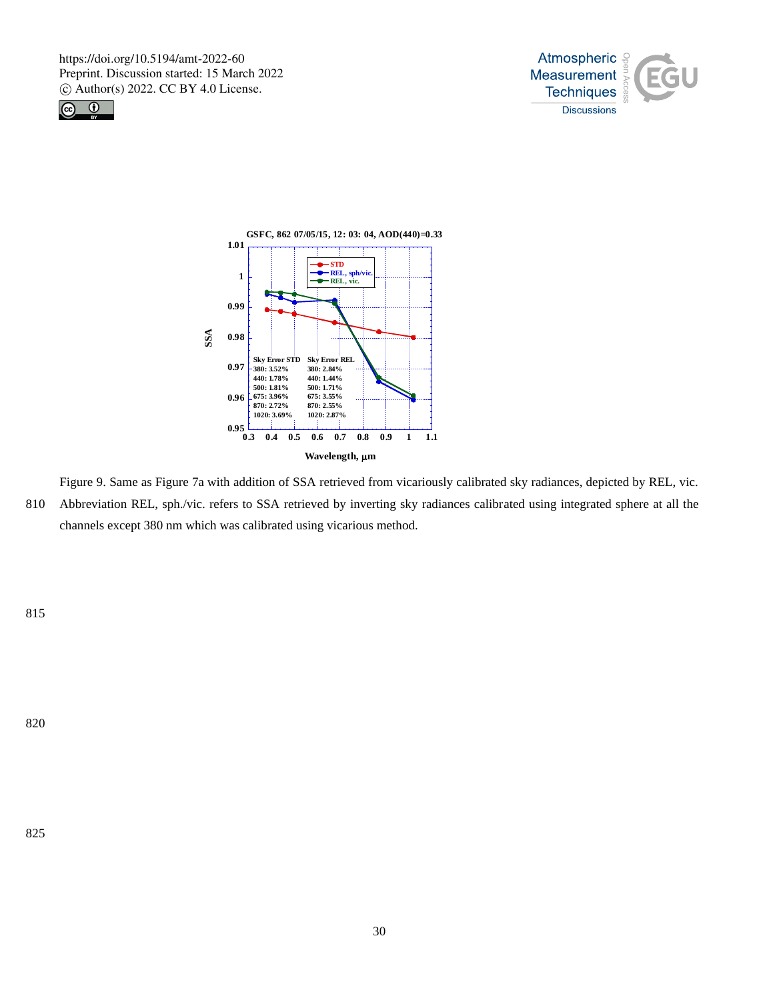





Figure 9. Same as Figure 7a with addition of SSA retrieved from vicariously calibrated sky radiances, depicted by REL, vic. 810 Abbreviation REL, sph./vic. refers to SSA retrieved by inverting sky radiances calibrated using integrated sphere at all the channels except 380 nm which was calibrated using vicarious method.

815

825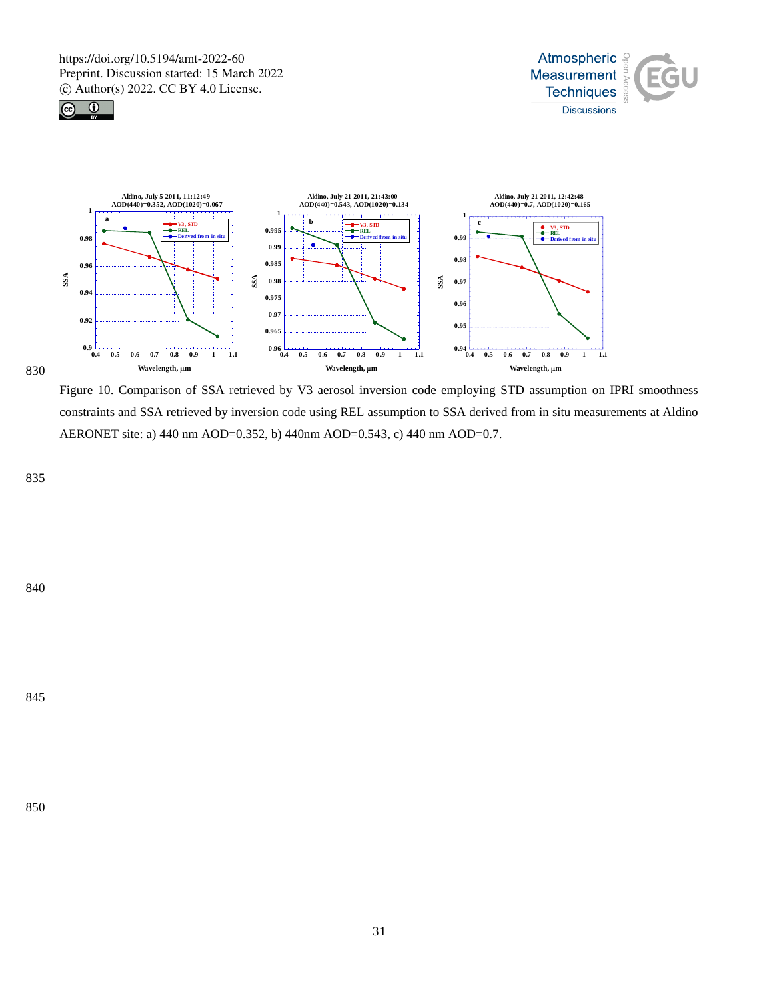





Figure 10. Comparison of SSA retrieved by V3 aerosol inversion code employing STD assumption on IPRI smoothness constraints and SSA retrieved by inversion code using REL assumption to SSA derived from in situ measurements at Aldino AERONET site: a) 440 nm AOD=0.352, b) 440nm AOD=0.543, c) 440 nm AOD=0.7.

835

840